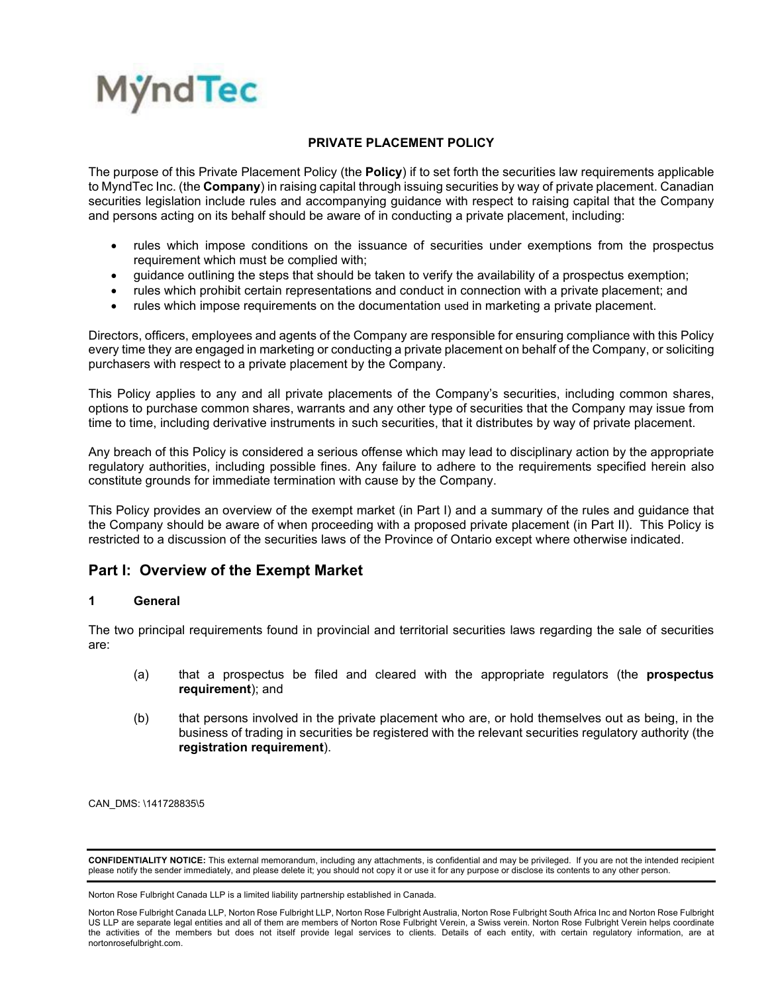

### **PRIVATE PLACEMENT POLICY**

The purpose of this Private Placement Policy (the **Policy**) if to set forth the securities law requirements applicable to MyndTec Inc. (the **Company**) in raising capital through issuing securities by way of private placement. Canadian securities legislation include rules and accompanying guidance with respect to raising capital that the Company and persons acting on its behalf should be aware of in conducting a private placement, including:

- rules which impose conditions on the issuance of securities under exemptions from the prospectus requirement which must be complied with;
- guidance outlining the steps that should be taken to verify the availability of a prospectus exemption;
- rules which prohibit certain representations and conduct in connection with a private placement; and
- rules which impose requirements on the documentation used in marketing a private placement.

Directors, officers, employees and agents of the Company are responsible for ensuring compliance with this Policy every time they are engaged in marketing or conducting a private placement on behalf of the Company, or soliciting purchasers with respect to a private placement by the Company.

This Policy applies to any and all private placements of the Company's securities, including common shares, options to purchase common shares, warrants and any other type of securities that the Company may issue from time to time, including derivative instruments in such securities, that it distributes by way of private placement.

Any breach of this Policy is considered a serious offense which may lead to disciplinary action by the appropriate regulatory authorities, including possible fines. Any failure to adhere to the requirements specified herein also constitute grounds for immediate termination with cause by the Company.

This Policy provides an overview of the exempt market (in Part I) and a summary of the rules and guidance that the Company should be aware of when proceeding with a proposed private placement (in Part II). This Policy is restricted to a discussion of the securities laws of the Province of Ontario except where otherwise indicated.

# **Part I: Overview of the Exempt Market**

### **1 General**

The two principal requirements found in provincial and territorial securities laws regarding the sale of securities are:

- (a) that a prospectus be filed and cleared with the appropriate regulators (the **prospectus requirement**); and
- (b) that persons involved in the private placement who are, or hold themselves out as being, in the business of trading in securities be registered with the relevant securities regulatory authority (the **registration requirement**).

CAN\_DMS: \141728835\5

**CONFIDENTIALITY NOTICE:** This external memorandum, including any attachments, is confidential and may be privileged. If you are not the intended recipient please notify the sender immediately, and please delete it; you should not copy it or use it for any purpose or disclose its contents to any other person.

Norton Rose Fulbright Canada LLP is a limited liability partnership established in Canada.

Norton Rose Fulbright Canada LLP, Norton Rose Fulbright LLP, Norton Rose Fulbright Australia, Norton Rose Fulbright South Africa Inc and Norton Rose Fulbright US LLP are separate legal entities and all of them are members of Norton Rose Fulbright Verein, a Swiss verein. Norton Rose Fulbright Verein helps coordinate the activities of the members but does not itself provide legal services to clients. Details of each entity, with certain regulatory information, are at nortonrosefulbright.com.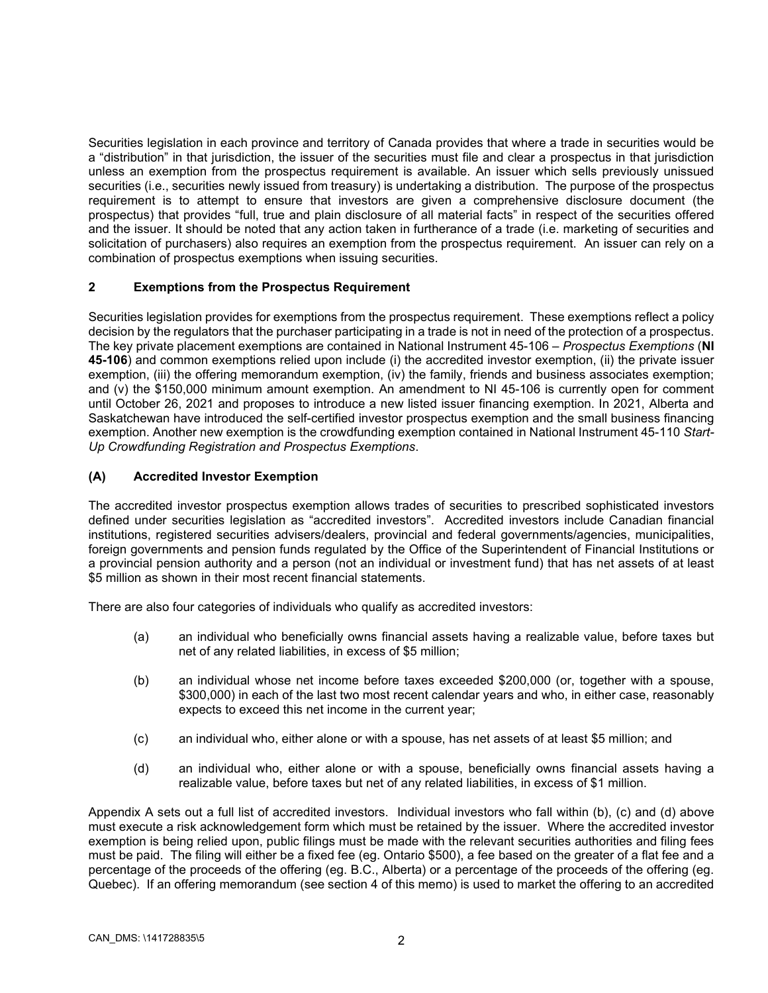Securities legislation in each province and territory of Canada provides that where a trade in securities would be a "distribution" in that jurisdiction, the issuer of the securities must file and clear a prospectus in that jurisdiction unless an exemption from the prospectus requirement is available. An issuer which sells previously unissued securities (i.e., securities newly issued from treasury) is undertaking a distribution. The purpose of the prospectus requirement is to attempt to ensure that investors are given a comprehensive disclosure document (the prospectus) that provides "full, true and plain disclosure of all material facts" in respect of the securities offered and the issuer. It should be noted that any action taken in furtherance of a trade (i.e. marketing of securities and solicitation of purchasers) also requires an exemption from the prospectus requirement. An issuer can rely on a combination of prospectus exemptions when issuing securities.

# **2 Exemptions from the Prospectus Requirement**

Securities legislation provides for exemptions from the prospectus requirement. These exemptions reflect a policy decision by the regulators that the purchaser participating in a trade is not in need of the protection of a prospectus. The key private placement exemptions are contained in National Instrument 45-106 – *Prospectus Exemptions* (**NI 45-106**) and common exemptions relied upon include (i) the accredited investor exemption, (ii) the private issuer exemption, (iii) the offering memorandum exemption, (iv) the family, friends and business associates exemption; and (v) the \$150,000 minimum amount exemption. An amendment to NI 45-106 is currently open for comment until October 26, 2021 and proposes to introduce a new listed issuer financing exemption. In 2021, Alberta and Saskatchewan have introduced the self-certified investor prospectus exemption and the small business financing exemption. Another new exemption is the crowdfunding exemption contained in National Instrument 45-110 *Start-Up Crowdfunding Registration and Prospectus Exemptions*.

# **(A) Accredited Investor Exemption**

The accredited investor prospectus exemption allows trades of securities to prescribed sophisticated investors defined under securities legislation as "accredited investors". Accredited investors include Canadian financial institutions, registered securities advisers/dealers, provincial and federal governments/agencies, municipalities, foreign governments and pension funds regulated by the Office of the Superintendent of Financial Institutions or a provincial pension authority and a person (not an individual or investment fund) that has net assets of at least \$5 million as shown in their most recent financial statements.

There are also four categories of individuals who qualify as accredited investors:

- (a) an individual who beneficially owns financial assets having a realizable value, before taxes but net of any related liabilities, in excess of \$5 million;
- (b) an individual whose net income before taxes exceeded \$200,000 (or, together with a spouse, \$300,000) in each of the last two most recent calendar years and who, in either case, reasonably expects to exceed this net income in the current year;
- (c) an individual who, either alone or with a spouse, has net assets of at least \$5 million; and
- (d) an individual who, either alone or with a spouse, beneficially owns financial assets having a realizable value, before taxes but net of any related liabilities, in excess of \$1 million.

Appendix A sets out a full list of accredited investors. Individual investors who fall within (b), (c) and (d) above must execute a risk acknowledgement form which must be retained by the issuer. Where the accredited investor exemption is being relied upon, public filings must be made with the relevant securities authorities and filing fees must be paid. The filing will either be a fixed fee (eg. Ontario \$500), a fee based on the greater of a flat fee and a percentage of the proceeds of the offering (eg. B.C., Alberta) or a percentage of the proceeds of the offering (eg. Quebec). If an offering memorandum (see section 4 of this memo) is used to market the offering to an accredited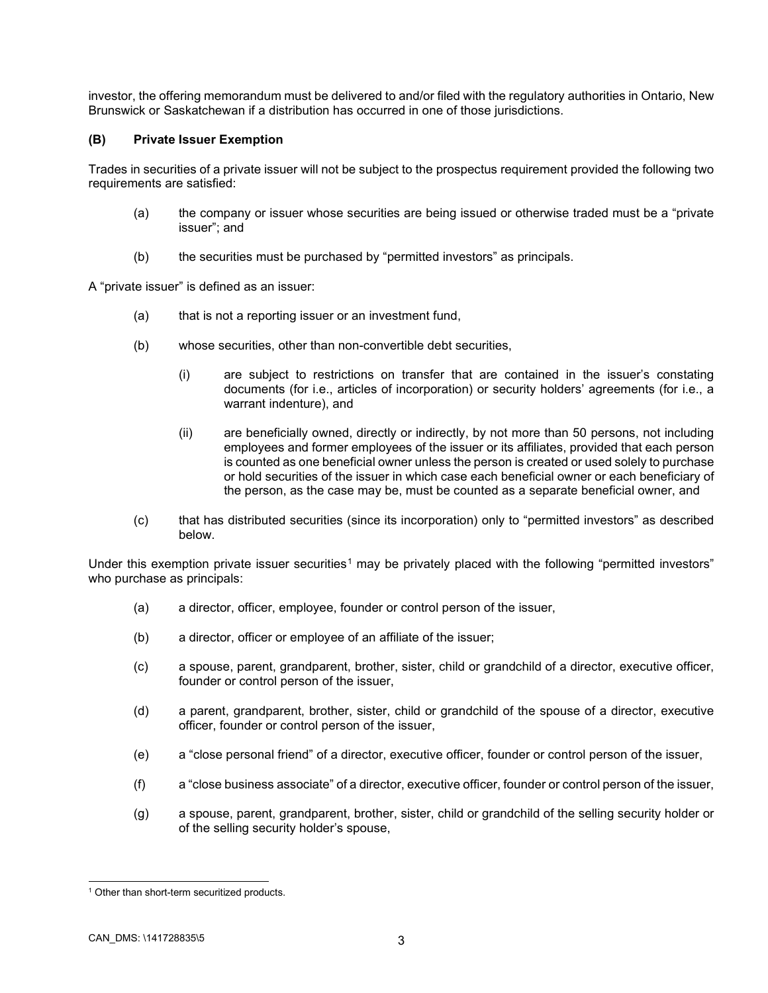investor, the offering memorandum must be delivered to and/or filed with the regulatory authorities in Ontario, New Brunswick or Saskatchewan if a distribution has occurred in one of those jurisdictions.

### **(B) Private Issuer Exemption**

Trades in securities of a private issuer will not be subject to the prospectus requirement provided the following two requirements are satisfied:

- (a) the company or issuer whose securities are being issued or otherwise traded must be a "private issuer"; and
- (b) the securities must be purchased by "permitted investors" as principals.

A "private issuer" is defined as an issuer:

- (a) that is not a reporting issuer or an investment fund,
- (b) whose securities, other than non-convertible debt securities,
	- (i) are subject to restrictions on transfer that are contained in the issuer's constating documents (for i.e., articles of incorporation) or security holders' agreements (for i.e., a warrant indenture), and
	- (ii) are beneficially owned, directly or indirectly, by not more than 50 persons, not including employees and former employees of the issuer or its affiliates, provided that each person is counted as one beneficial owner unless the person is created or used solely to purchase or hold securities of the issuer in which case each beneficial owner or each beneficiary of the person, as the case may be, must be counted as a separate beneficial owner, and
- (c) that has distributed securities (since its incorporation) only to "permitted investors" as described below.

Under this exemption private issuer securities<sup>[1](#page-2-0)</sup> may be privately placed with the following "permitted investors" who purchase as principals:

- (a) a director, officer, employee, founder or control person of the issuer,
- (b) a director, officer or employee of an affiliate of the issuer;
- (c) a spouse, parent, grandparent, brother, sister, child or grandchild of a director, executive officer, founder or control person of the issuer,
- (d) a parent, grandparent, brother, sister, child or grandchild of the spouse of a director, executive officer, founder or control person of the issuer,
- (e) a "close personal friend" of a director, executive officer, founder or control person of the issuer,
- (f) a "close business associate" of a director, executive officer, founder or control person of the issuer,
- (g) a spouse, parent, grandparent, brother, sister, child or grandchild of the selling security holder or of the selling security holder's spouse,

<span id="page-2-0"></span><sup>&</sup>lt;sup>1</sup> Other than short-term securitized products.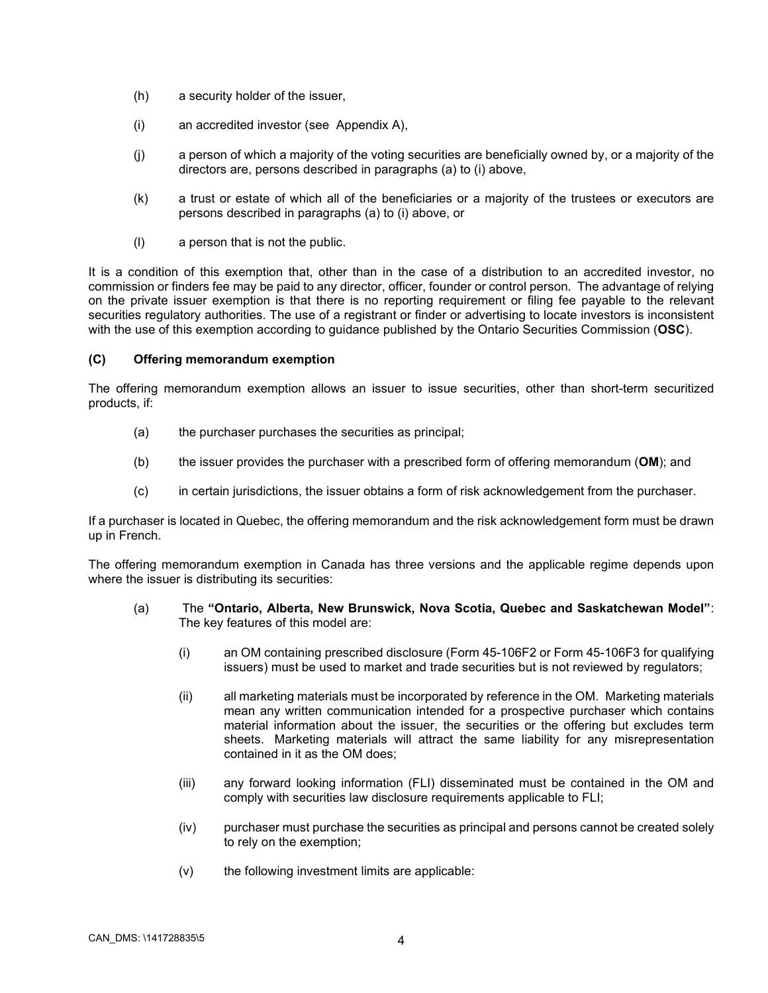- (h) a security holder of the issuer,
- (i) an accredited investor (see Appendix A),
- (j) a person of which a majority of the voting securities are beneficially owned by, or a majority of the directors are, persons described in paragraphs (a) to (i) above,
- (k) a trust or estate of which all of the beneficiaries or a majority of the trustees or executors are persons described in paragraphs (a) to (i) above, or
- (l) a person that is not the public.

It is a condition of this exemption that, other than in the case of a distribution to an accredited investor, no commission or finders fee may be paid to any director, officer, founder or control person. The advantage of relying on the private issuer exemption is that there is no reporting requirement or filing fee payable to the relevant securities regulatory authorities. The use of a registrant or finder or advertising to locate investors is inconsistent with the use of this exemption according to guidance published by the Ontario Securities Commission (**OSC**).

# **(C) Offering memorandum exemption**

The offering memorandum exemption allows an issuer to issue securities, other than short-term securitized products, if:

- (a) the purchaser purchases the securities as principal;
- (b) the issuer provides the purchaser with a prescribed form of offering memorandum (**OM**); and
- (c) in certain jurisdictions, the issuer obtains a form of risk acknowledgement from the purchaser.

If a purchaser is located in Quebec, the offering memorandum and the risk acknowledgement form must be drawn up in French.

The offering memorandum exemption in Canada has three versions and the applicable regime depends upon where the issuer is distributing its securities:

- (a) The **"Ontario, Alberta, New Brunswick, Nova Scotia, Quebec and Saskatchewan Model"**: The key features of this model are:
	- (i) an OM containing prescribed disclosure (Form 45-106F2 or Form 45-106F3 for qualifying issuers) must be used to market and trade securities but is not reviewed by regulators;
	- (ii) all marketing materials must be incorporated by reference in the OM. Marketing materials mean any written communication intended for a prospective purchaser which contains material information about the issuer, the securities or the offering but excludes term sheets. Marketing materials will attract the same liability for any misrepresentation contained in it as the OM does;
	- (iii) any forward looking information (FLI) disseminated must be contained in the OM and comply with securities law disclosure requirements applicable to FLI;
	- (iv) purchaser must purchase the securities as principal and persons cannot be created solely to rely on the exemption;
	- (v) the following investment limits are applicable: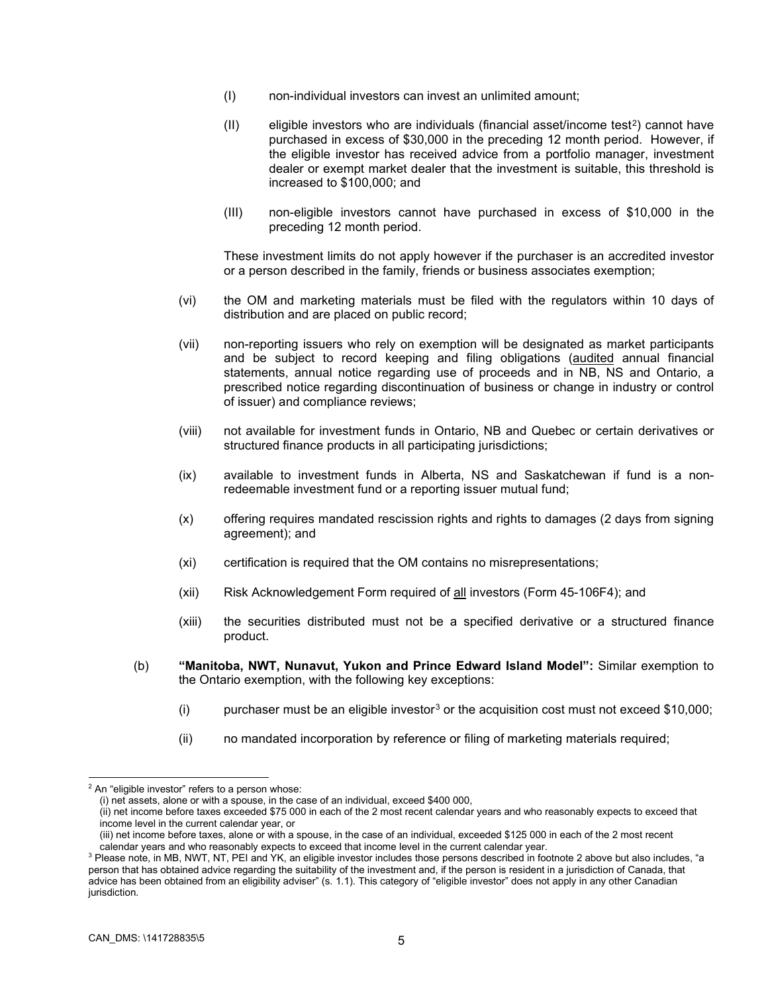- (I) non-individual investors can invest an unlimited amount;
- $(II)$  eligible investors who are individuals (financial asset/income test<sup>2</sup>) cannot have purchased in excess of \$30,000 in the preceding 12 month period. However, if the eligible investor has received advice from a portfolio manager, investment dealer or exempt market dealer that the investment is suitable, this threshold is increased to \$100,000; and
- (III) non-eligible investors cannot have purchased in excess of \$10,000 in the preceding 12 month period.

These investment limits do not apply however if the purchaser is an accredited investor or a person described in the family, friends or business associates exemption;

- (vi) the OM and marketing materials must be filed with the regulators within 10 days of distribution and are placed on public record;
- (vii) non-reporting issuers who rely on exemption will be designated as market participants and be subject to record keeping and filing obligations (audited annual financial statements, annual notice regarding use of proceeds and in NB, NS and Ontario, a prescribed notice regarding discontinuation of business or change in industry or control of issuer) and compliance reviews;
- (viii) not available for investment funds in Ontario, NB and Quebec or certain derivatives or structured finance products in all participating jurisdictions;
- (ix) available to investment funds in Alberta, NS and Saskatchewan if fund is a nonredeemable investment fund or a reporting issuer mutual fund;
- (x) offering requires mandated rescission rights and rights to damages (2 days from signing agreement); and
- (xi) certification is required that the OM contains no misrepresentations;
- (xii) Risk Acknowledgement Form required of all investors (Form 45-106F4); and
- (xiii) the securities distributed must not be a specified derivative or a structured finance product.
- (b) **"Manitoba, NWT, Nunavut, Yukon and Prince Edward Island Model":** Similar exemption to the Ontario exemption, with the following key exceptions:
	- (i) purchaser must be an eligible investor<sup>[3](#page-4-1)</sup> or the acquisition cost must not exceed \$10,000;
	- (ii) no mandated incorporation by reference or filing of marketing materials required;

<span id="page-4-0"></span> $2$  An "eligible investor" refers to a person whose:

<sup>(</sup>i) net assets, alone or with a spouse, in the case of an individual, exceed \$400 000,

<sup>(</sup>ii) net income before taxes exceeded \$75 000 in each of the 2 most recent calendar years and who reasonably expects to exceed that income level in the current calendar year, or

<sup>(</sup>iii) net income before taxes, alone or with a spouse, in the case of an individual, exceeded \$125 000 in each of the 2 most recent calendar years and who reasonably expects to exceed that income level in the current calendar year.

<span id="page-4-1"></span><sup>&</sup>lt;sup>3</sup> Please note, in MB, NWT, NT, PEI and YK, an eligible investor includes those persons described in footnote 2 above but also includes, "a person that has obtained advice regarding the suitability of the investment and, if the person is resident in a jurisdiction of Canada, that advice has been obtained from an eligibility adviser" (s. 1.1). This category of "eligible investor" does not apply in any other Canadian jurisdiction.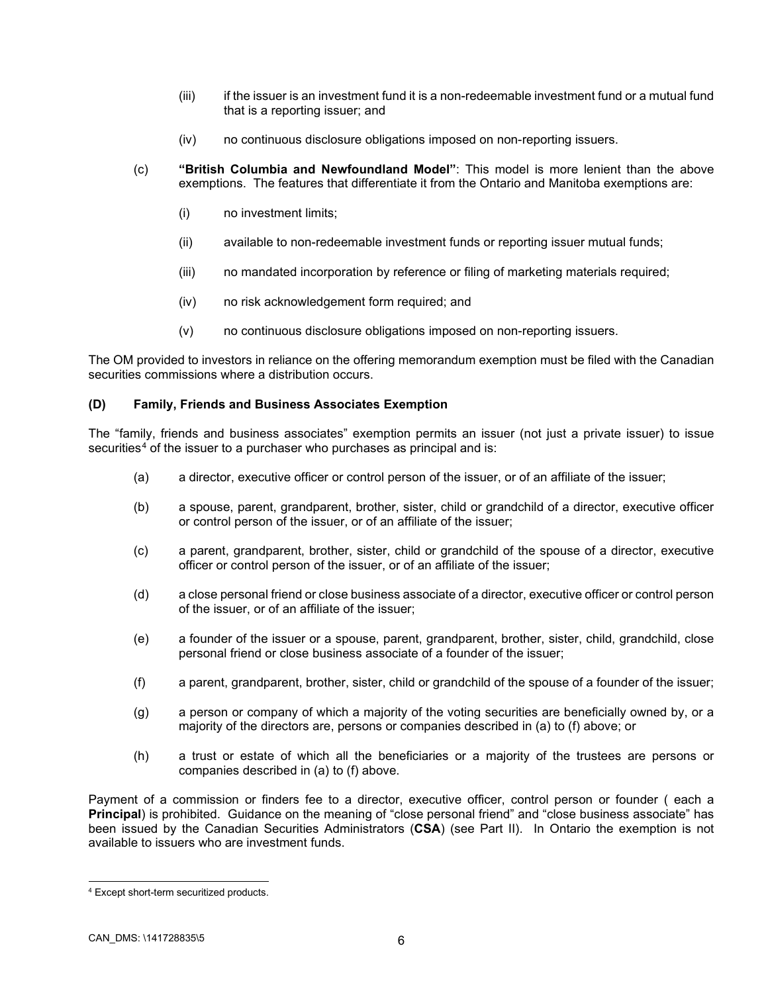- (iii) if the issuer is an investment fund it is a non-redeemable investment fund or a mutual fund that is a reporting issuer; and
- (iv) no continuous disclosure obligations imposed on non-reporting issuers.
- (c) **"British Columbia and Newfoundland Model"**: This model is more lenient than the above exemptions. The features that differentiate it from the Ontario and Manitoba exemptions are:
	- (i) no investment limits;
	- (ii) available to non-redeemable investment funds or reporting issuer mutual funds;
	- (iii) no mandated incorporation by reference or filing of marketing materials required;
	- (iv) no risk acknowledgement form required; and
	- (v) no continuous disclosure obligations imposed on non-reporting issuers.

The OM provided to investors in reliance on the offering memorandum exemption must be filed with the Canadian securities commissions where a distribution occurs.

# **(D) Family, Friends and Business Associates Exemption**

<span id="page-5-0"></span>The "family, friends and business associates" exemption permits an issuer (not just a private issuer) to issue securities<sup>[4](#page-5-2)</sup> of the issuer to a purchaser who purchases as principal and is:

- (a) a director, executive officer or control person of the issuer, or of an affiliate of the issuer;
- (b) a spouse, parent, grandparent, brother, sister, child or grandchild of a director, executive officer or control person of the issuer, or of an affiliate of the issuer;
- (c) a parent, grandparent, brother, sister, child or grandchild of the spouse of a director, executive officer or control person of the issuer, or of an affiliate of the issuer;
- (d) a close personal friend or close business associate of a director, executive officer or control person of the issuer, or of an affiliate of the issuer;
- (e) a founder of the issuer or a spouse, parent, grandparent, brother, sister, child, grandchild, close personal friend or close business associate of a founder of the issuer;
- <span id="page-5-1"></span>(f) a parent, grandparent, brother, sister, child or grandchild of the spouse of a founder of the issuer;
- (g) a person or company of which a majority of the voting securities are beneficially owned by, or a majority of the directors are, persons or companies described in [\(a\)](#page-5-0) to [\(f\)](#page-5-1) above; or
- (h) a trust or estate of which all the beneficiaries or a majority of the trustees are persons or companies described in [\(a\)](#page-5-0) to [\(f\)](#page-5-1) above.

Payment of a commission or finders fee to a director, executive officer, control person or founder ( each a **Principal**) is prohibited. Guidance on the meaning of "close personal friend" and "close business associate" has been issued by the Canadian Securities Administrators (**CSA**) (see Part II). In Ontario the exemption is not available to issuers who are investment funds.

<span id="page-5-2"></span><sup>4</sup> Except short-term securitized products.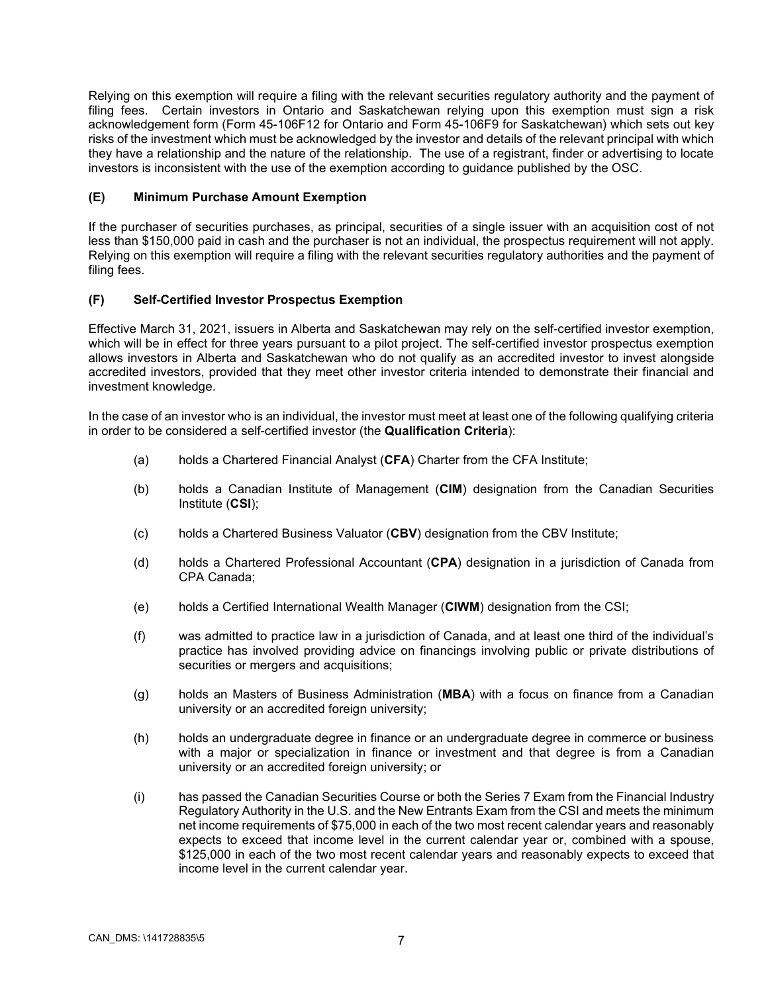Relying on this exemption will require a filing with the relevant securities regulatory authority and the payment of filing fees. Certain investors in Ontario and Saskatchewan relying upon this exemption must sign a risk acknowledgement form (Form 45-106F12 for Ontario and Form 45-106F9 for Saskatchewan) which sets out key risks of the investment which must be acknowledged by the investor and details of the relevant principal with which they have a relationship and the nature of the relationship. The use of a registrant, finder or advertising to locate investors is inconsistent with the use of the exemption according to guidance published by the OSC.

# **(E) Minimum Purchase Amount Exemption**

If the purchaser of securities purchases, as principal, securities of a single issuer with an acquisition cost of not less than \$150,000 paid in cash and the purchaser is not an individual, the prospectus requirement will not apply. Relying on this exemption will require a filing with the relevant securities regulatory authorities and the payment of filing fees.

# **(F) Self-Certified Investor Prospectus Exemption**

Effective March 31, 2021, issuers in Alberta and Saskatchewan may rely on the self-certified investor exemption, which will be in effect for three years pursuant to a pilot project. The self-certified investor prospectus exemption allows investors in Alberta and Saskatchewan who do not qualify as an accredited investor to invest alongside accredited investors, provided that they meet other investor criteria intended to demonstrate their financial and investment knowledge.

In the case of an investor who is an individual, the investor must meet at least one of the following qualifying criteria in order to be considered a self-certified investor (the **Qualification Criteria**):

- (a) holds a Chartered Financial Analyst (**CFA**) Charter from the CFA Institute;
- (b) holds a Canadian Institute of Management (**CIM**) designation from the Canadian Securities Institute (**CSI**);
- (c) holds a Chartered Business Valuator (**CBV**) designation from the CBV Institute;
- (d) holds a Chartered Professional Accountant (**CPA**) designation in a jurisdiction of Canada from CPA Canada;
- (e) holds a Certified International Wealth Manager (**CIWM**) designation from the CSI;
- (f) was admitted to practice law in a jurisdiction of Canada, and at least one third of the individual's practice has involved providing advice on financings involving public or private distributions of securities or mergers and acquisitions;
- (g) holds an Masters of Business Administration (**MBA**) with a focus on finance from a Canadian university or an accredited foreign university;
- (h) holds an undergraduate degree in finance or an undergraduate degree in commerce or business with a major or specialization in finance or investment and that degree is from a Canadian university or an accredited foreign university; or
- (i) has passed the Canadian Securities Course or both the Series 7 Exam from the Financial Industry Regulatory Authority in the U.S. and the New Entrants Exam from the CSI and meets the minimum net income requirements of \$75,000 in each of the two most recent calendar years and reasonably expects to exceed that income level in the current calendar year or, combined with a spouse, \$125,000 in each of the two most recent calendar years and reasonably expects to exceed that income level in the current calendar year.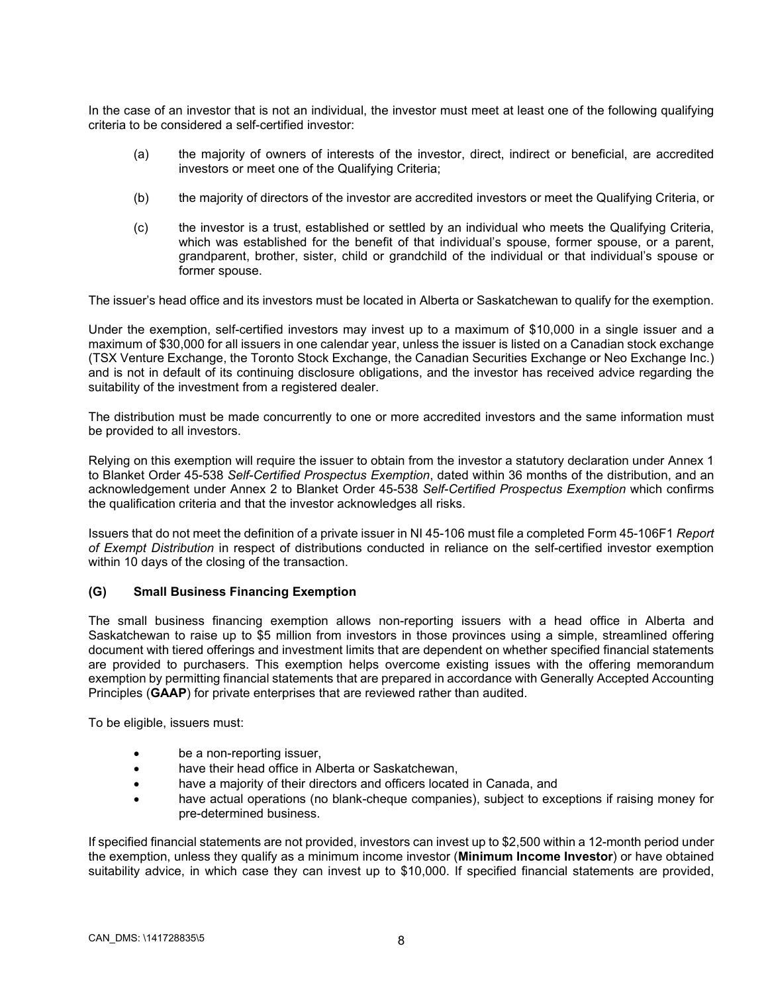In the case of an investor that is not an individual, the investor must meet at least one of the following qualifying criteria to be considered a self-certified investor:

- (a) the majority of owners of interests of the investor, direct, indirect or beneficial, are accredited investors or meet one of the Qualifying Criteria;
- (b) the majority of directors of the investor are accredited investors or meet the Qualifying Criteria, or
- (c) the investor is a trust, established or settled by an individual who meets the Qualifying Criteria, which was established for the benefit of that individual's spouse, former spouse, or a parent, grandparent, brother, sister, child or grandchild of the individual or that individual's spouse or former spouse.

The issuer's head office and its investors must be located in Alberta or Saskatchewan to qualify for the exemption.

Under the exemption, self-certified investors may invest up to a maximum of \$10,000 in a single issuer and a maximum of \$30,000 for all issuers in one calendar year, unless the issuer is listed on a Canadian stock exchange (TSX Venture Exchange, the Toronto Stock Exchange, the Canadian Securities Exchange or Neo Exchange Inc.) and is not in default of its continuing disclosure obligations, and the investor has received advice regarding the suitability of the investment from a registered dealer.

The distribution must be made concurrently to one or more accredited investors and the same information must be provided to all investors.

Relying on this exemption will require the issuer to obtain from the investor a statutory declaration under Annex 1 to Blanket Order 45-538 *Self-Certified Prospectus Exemption*, dated within 36 months of the distribution, and an acknowledgement under Annex 2 to Blanket Order 45-538 *Self-Certified Prospectus Exemption* which confirms the qualification criteria and that the investor acknowledges all risks.

Issuers that do not meet the definition of a private issuer in NI 45-106 must file a completed Form 45-106F1 *Report of Exempt Distribution* in respect of distributions conducted in reliance on the self-certified investor exemption within 10 days of the closing of the transaction.

### **(G) Small Business Financing Exemption**

The small business financing exemption allows non-reporting issuers with a head office in Alberta and Saskatchewan to raise up to \$5 million from investors in those provinces using a simple, streamlined offering document with tiered offerings and investment limits that are dependent on whether specified financial statements are provided to purchasers. This exemption helps overcome existing issues with the offering memorandum exemption by permitting financial statements that are prepared in accordance with Generally Accepted Accounting Principles (**GAAP**) for private enterprises that are reviewed rather than audited.

To be eligible, issuers must:

- be a non-reporting issuer,
- have their head office in Alberta or Saskatchewan,
- have a majority of their directors and officers located in Canada, and
- have actual operations (no blank-cheque companies), subject to exceptions if raising money for pre-determined business.

If specified financial statements are not provided, investors can invest up to \$2,500 within a 12-month period under the exemption, unless they qualify as a minimum income investor (**Minimum Income Investor**) or have obtained suitability advice, in which case they can invest up to \$10,000. If specified financial statements are provided,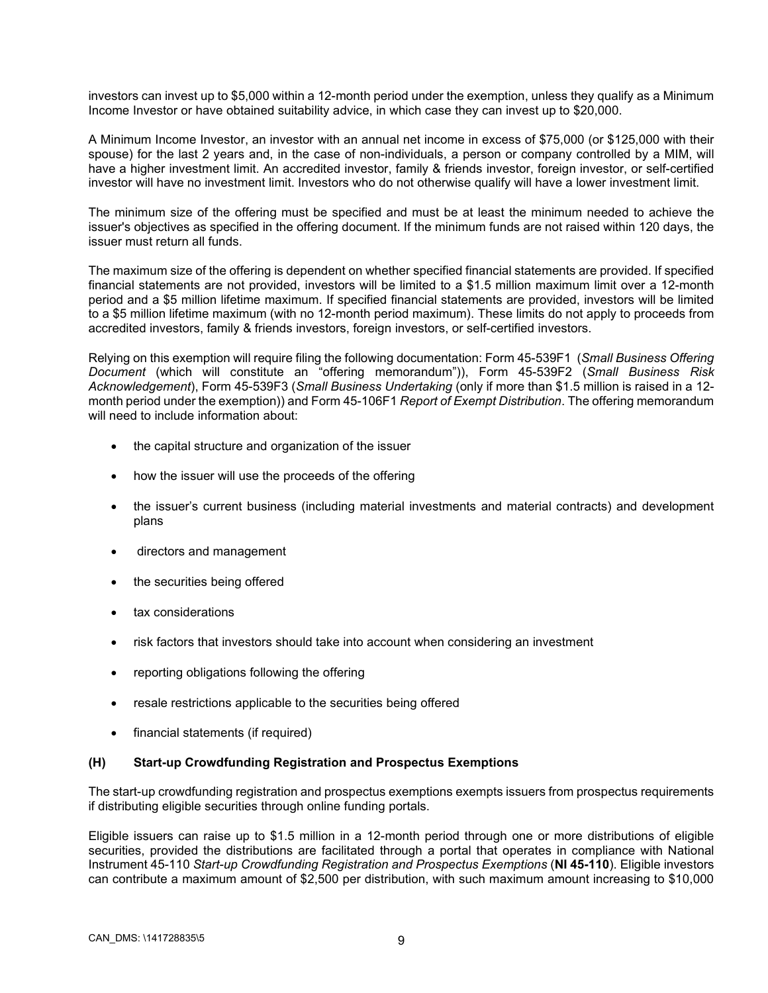investors can invest up to \$5,000 within a 12-month period under the exemption, unless they qualify as a Minimum Income Investor or have obtained suitability advice, in which case they can invest up to \$20,000.

A Minimum Income Investor, an investor with an annual net income in excess of \$75,000 (or \$125,000 with their spouse) for the last 2 years and, in the case of non-individuals, a person or company controlled by a MIM, will have a higher investment limit. An accredited investor, family & friends investor, foreign investor, or self-certified investor will have no investment limit. Investors who do not otherwise qualify will have a lower investment limit.

The minimum size of the offering must be specified and must be at least the minimum needed to achieve the issuer's objectives as specified in the offering document. If the minimum funds are not raised within 120 days, the issuer must return all funds.

The maximum size of the offering is dependent on whether specified financial statements are provided. If specified financial statements are not provided, investors will be limited to a \$1.5 million maximum limit over a 12-month period and a \$5 million lifetime maximum. If specified financial statements are provided, investors will be limited to a \$5 million lifetime maximum (with no 12-month period maximum). These limits do not apply to proceeds from accredited investors, family & friends investors, foreign investors, or self-certified investors.

Relying on this exemption will require filing the following documentation: Form 45-539F1 (*Small Business Offering Document* (which will constitute an "offering memorandum")), Form 45-539F2 (*Small Business Risk Acknowledgement*), Form 45-539F3 (*Small Business Undertaking* (only if more than \$1.5 million is raised in a 12 month period under the exemption)) and Form 45-106F1 *Report of Exempt Distribution*. The offering memorandum will need to include information about:

- the capital structure and organization of the issuer
- how the issuer will use the proceeds of the offering
- the issuer's current business (including material investments and material contracts) and development plans
- directors and management
- the securities being offered
- tax considerations
- risk factors that investors should take into account when considering an investment
- reporting obligations following the offering
- resale restrictions applicable to the securities being offered
- financial statements (if required)

### **(H) Start-up Crowdfunding Registration and Prospectus Exemptions**

The start-up crowdfunding registration and prospectus exemptions exempts issuers from prospectus requirements if distributing eligible securities through online funding portals.

Eligible issuers can raise up to \$1.5 million in a 12-month period through one or more distributions of eligible securities, provided the distributions are facilitated through a portal that operates in compliance with National Instrument 45-110 *Start-up Crowdfunding Registration and Prospectus Exemptions* (**NI 45-110**). Eligible investors can contribute a maximum amount of \$2,500 per distribution, with such maximum amount increasing to \$10,000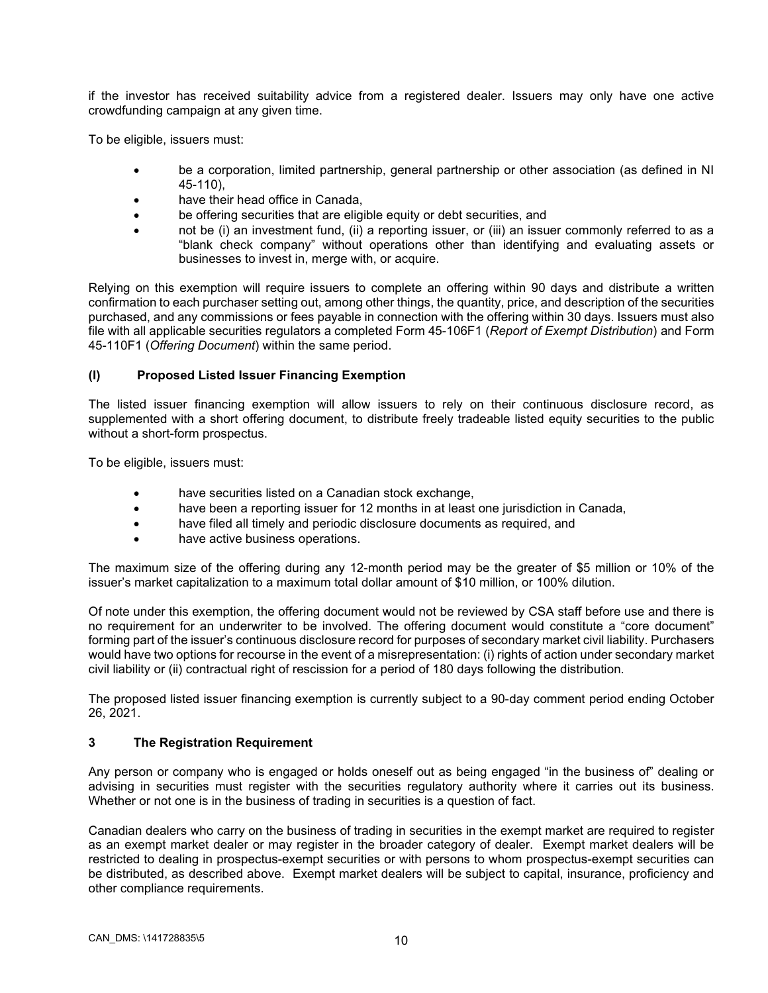if the investor has received suitability advice from a registered dealer. Issuers may only have one active crowdfunding campaign at any given time.

To be eligible, issuers must:

- be a corporation, limited partnership, general partnership or other association (as defined in NI 45-110),
- have their head office in Canada,
- be offering securities that are eligible equity or debt securities, and
- not be (i) an investment fund, (ii) a reporting issuer, or (iii) an issuer commonly referred to as a "blank check company" without operations other than identifying and evaluating assets or businesses to invest in, merge with, or acquire.

Relying on this exemption will require issuers to complete an offering within 90 days and distribute a written confirmation to each purchaser setting out, among other things, the quantity, price, and description of the securities purchased, and any commissions or fees payable in connection with the offering within 30 days. Issuers must also file with all applicable securities regulators a completed Form 45-106F1 (*Report of Exempt Distribution*) and Form 45-110F1 (*Offering Document*) within the same period.

### **(I) Proposed Listed Issuer Financing Exemption**

The listed issuer financing exemption will allow issuers to rely on their continuous disclosure record, as supplemented with a short offering document, to distribute freely tradeable listed equity securities to the public without a short-form prospectus.

To be eligible, issuers must:

- have securities listed on a Canadian stock exchange,
- have been a reporting issuer for 12 months in at least one jurisdiction in Canada,
- have filed all timely and periodic disclosure documents as required, and
- have active business operations.

The maximum size of the offering during any 12-month period may be the greater of \$5 million or 10% of the issuer's market capitalization to a maximum total dollar amount of \$10 million, or 100% dilution.

Of note under this exemption, the offering document would not be reviewed by CSA staff before use and there is no requirement for an underwriter to be involved. The offering document would constitute a "core document" forming part of the issuer's continuous disclosure record for purposes of secondary market civil liability. Purchasers would have two options for recourse in the event of a misrepresentation: (i) rights of action under secondary market civil liability or (ii) contractual right of rescission for a period of 180 days following the distribution.

The proposed listed issuer financing exemption is currently subject to a 90-day comment period ending October 26, 2021.

### **3 The Registration Requirement**

Any person or company who is engaged or holds oneself out as being engaged "in the business of" dealing or advising in securities must register with the securities regulatory authority where it carries out its business. Whether or not one is in the business of trading in securities is a question of fact.

Canadian dealers who carry on the business of trading in securities in the exempt market are required to register as an exempt market dealer or may register in the broader category of dealer. Exempt market dealers will be restricted to dealing in prospectus-exempt securities or with persons to whom prospectus-exempt securities can be distributed, as described above. Exempt market dealers will be subject to capital, insurance, proficiency and other compliance requirements.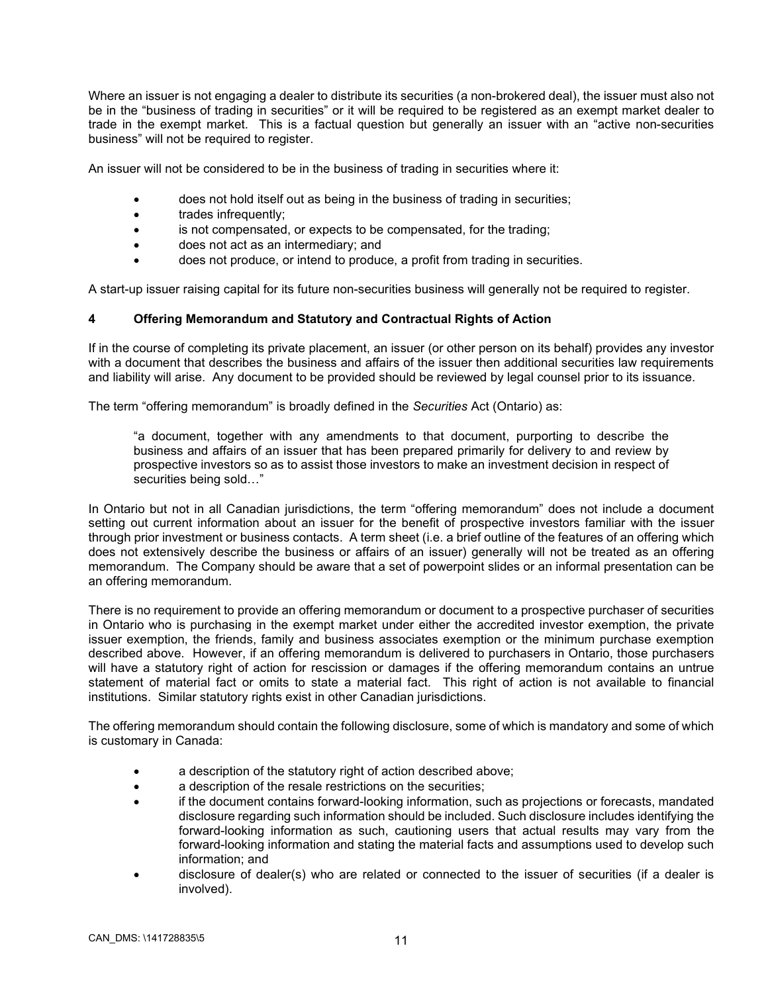Where an issuer is not engaging a dealer to distribute its securities (a non-brokered deal), the issuer must also not be in the "business of trading in securities" or it will be required to be registered as an exempt market dealer to trade in the exempt market. This is a factual question but generally an issuer with an "active non-securities business" will not be required to register.

An issuer will not be considered to be in the business of trading in securities where it:

- does not hold itself out as being in the business of trading in securities;
- trades infrequently;
- is not compensated, or expects to be compensated, for the trading;
- does not act as an intermediary; and
- does not produce, or intend to produce, a profit from trading in securities.

A start-up issuer raising capital for its future non-securities business will generally not be required to register.

# **4 Offering Memorandum and Statutory and Contractual Rights of Action**

If in the course of completing its private placement, an issuer (or other person on its behalf) provides any investor with a document that describes the business and affairs of the issuer then additional securities law requirements and liability will arise. Any document to be provided should be reviewed by legal counsel prior to its issuance.

The term "offering memorandum" is broadly defined in the *Securities* Act (Ontario) as:

"a document, together with any amendments to that document, purporting to describe the business and affairs of an issuer that has been prepared primarily for delivery to and review by prospective investors so as to assist those investors to make an investment decision in respect of securities being sold…"

In Ontario but not in all Canadian jurisdictions, the term "offering memorandum" does not include a document setting out current information about an issuer for the benefit of prospective investors familiar with the issuer through prior investment or business contacts. A term sheet (i.e. a brief outline of the features of an offering which does not extensively describe the business or affairs of an issuer) generally will not be treated as an offering memorandum. The Company should be aware that a set of powerpoint slides or an informal presentation can be an offering memorandum.

There is no requirement to provide an offering memorandum or document to a prospective purchaser of securities in Ontario who is purchasing in the exempt market under either the accredited investor exemption, the private issuer exemption, the friends, family and business associates exemption or the minimum purchase exemption described above. However, if an offering memorandum is delivered to purchasers in Ontario, those purchasers will have a statutory right of action for rescission or damages if the offering memorandum contains an untrue statement of material fact or omits to state a material fact. This right of action is not available to financial institutions. Similar statutory rights exist in other Canadian jurisdictions.

The offering memorandum should contain the following disclosure, some of which is mandatory and some of which is customary in Canada:

- a description of the statutory right of action described above;
- a description of the resale restrictions on the securities;
- if the document contains forward-looking information, such as projections or forecasts, mandated disclosure regarding such information should be included. Such disclosure includes identifying the forward-looking information as such, cautioning users that actual results may vary from the forward-looking information and stating the material facts and assumptions used to develop such information; and
- disclosure of dealer(s) who are related or connected to the issuer of securities (if a dealer is involved).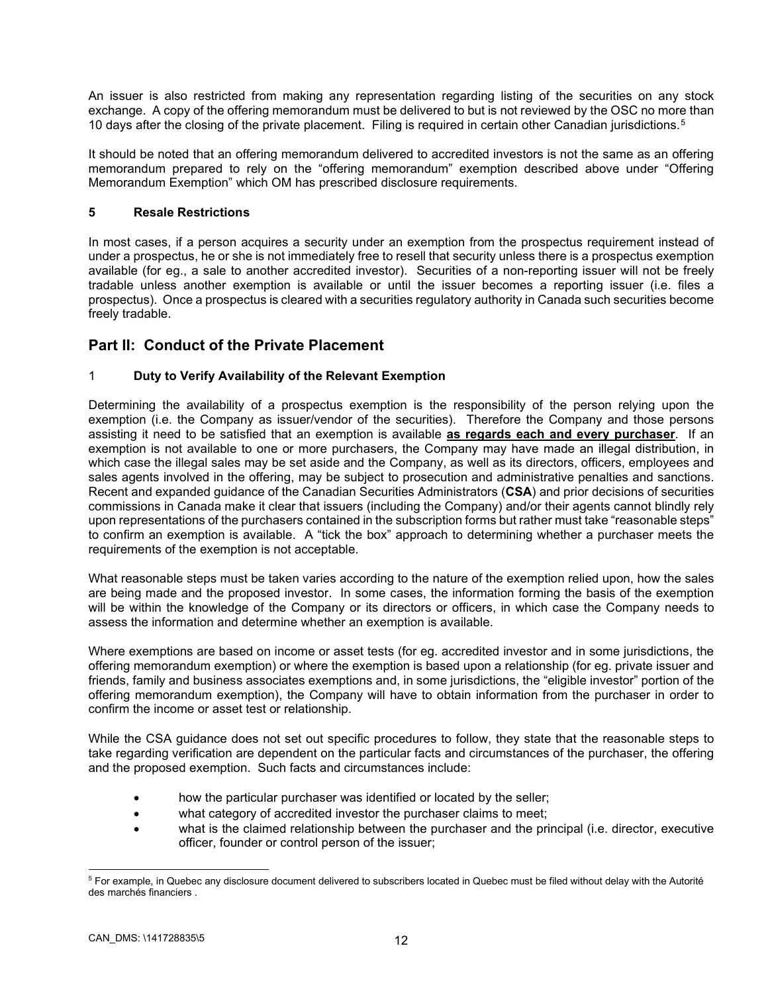An issuer is also restricted from making any representation regarding listing of the securities on any stock exchange. A copy of the offering memorandum must be delivered to but is not reviewed by the OSC no more than 10 days after the closing of the private placement. Filing is required in certain other Canadian jurisdictions.<sup>[5](#page-11-0)</sup>

It should be noted that an offering memorandum delivered to accredited investors is not the same as an offering memorandum prepared to rely on the "offering memorandum" exemption described above under "Offering Memorandum Exemption" which OM has prescribed disclosure requirements.

# **5 Resale Restrictions**

In most cases, if a person acquires a security under an exemption from the prospectus requirement instead of under a prospectus, he or she is not immediately free to resell that security unless there is a prospectus exemption available (for eg., a sale to another accredited investor). Securities of a non-reporting issuer will not be freely tradable unless another exemption is available or until the issuer becomes a reporting issuer (i.e. files a prospectus). Once a prospectus is cleared with a securities regulatory authority in Canada such securities become freely tradable.

# **Part II: Conduct of the Private Placement**

# 1 **Duty to Verify Availability of the Relevant Exemption**

Determining the availability of a prospectus exemption is the responsibility of the person relying upon the exemption (i.e. the Company as issuer/vendor of the securities). Therefore the Company and those persons assisting it need to be satisfied that an exemption is available **as regards each and every purchaser**. If an exemption is not available to one or more purchasers, the Company may have made an illegal distribution, in which case the illegal sales may be set aside and the Company, as well as its directors, officers, employees and sales agents involved in the offering, may be subject to prosecution and administrative penalties and sanctions. Recent and expanded guidance of the Canadian Securities Administrators (**CSA**) and prior decisions of securities commissions in Canada make it clear that issuers (including the Company) and/or their agents cannot blindly rely upon representations of the purchasers contained in the subscription forms but rather must take "reasonable steps" to confirm an exemption is available. A "tick the box" approach to determining whether a purchaser meets the requirements of the exemption is not acceptable.

What reasonable steps must be taken varies according to the nature of the exemption relied upon, how the sales are being made and the proposed investor. In some cases, the information forming the basis of the exemption will be within the knowledge of the Company or its directors or officers, in which case the Company needs to assess the information and determine whether an exemption is available.

Where exemptions are based on income or asset tests (for eg. accredited investor and in some jurisdictions, the offering memorandum exemption) or where the exemption is based upon a relationship (for eg. private issuer and friends, family and business associates exemptions and, in some jurisdictions, the "eligible investor" portion of the offering memorandum exemption), the Company will have to obtain information from the purchaser in order to confirm the income or asset test or relationship.

While the CSA guidance does not set out specific procedures to follow, they state that the reasonable steps to take regarding verification are dependent on the particular facts and circumstances of the purchaser, the offering and the proposed exemption. Such facts and circumstances include:

- how the particular purchaser was identified or located by the seller;
- what category of accredited investor the purchaser claims to meet;
- what is the claimed relationship between the purchaser and the principal (i.e. director, executive officer, founder or control person of the issuer;

<span id="page-11-0"></span><sup>&</sup>lt;sup>5</sup> For example, in Quebec any disclosure document delivered to subscribers located in Quebec must be filed without delay with the Autorité des marchés financiers .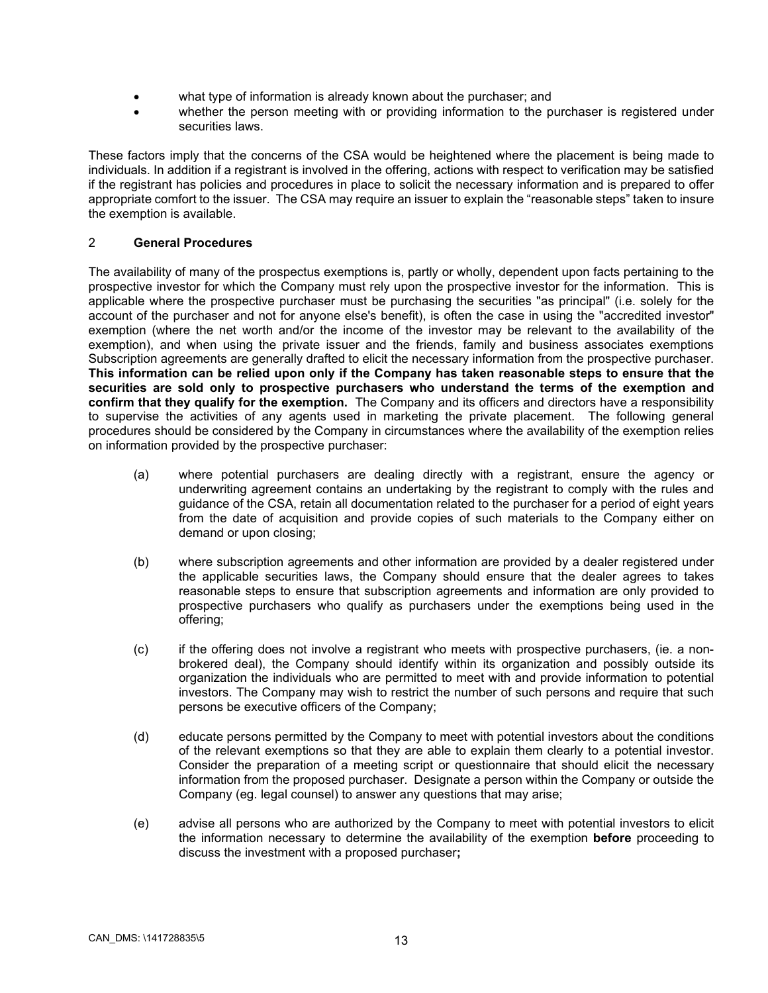- what type of information is already known about the purchaser; and
- whether the person meeting with or providing information to the purchaser is registered under securities laws.

These factors imply that the concerns of the CSA would be heightened where the placement is being made to individuals. In addition if a registrant is involved in the offering, actions with respect to verification may be satisfied if the registrant has policies and procedures in place to solicit the necessary information and is prepared to offer appropriate comfort to the issuer. The CSA may require an issuer to explain the "reasonable steps" taken to insure the exemption is available.

# 2 **General Procedures**

The availability of many of the prospectus exemptions is, partly or wholly, dependent upon facts pertaining to the prospective investor for which the Company must rely upon the prospective investor for the information. This is applicable where the prospective purchaser must be purchasing the securities "as principal" (i.e. solely for the account of the purchaser and not for anyone else's benefit), is often the case in using the "accredited investor" exemption (where the net worth and/or the income of the investor may be relevant to the availability of the exemption), and when using the private issuer and the friends, family and business associates exemptions Subscription agreements are generally drafted to elicit the necessary information from the prospective purchaser. **This information can be relied upon only if the Company has taken reasonable steps to ensure that the securities are sold only to prospective purchasers who understand the terms of the exemption and confirm that they qualify for the exemption.** The Company and its officers and directors have a responsibility to supervise the activities of any agents used in marketing the private placement. The following general procedures should be considered by the Company in circumstances where the availability of the exemption relies on information provided by the prospective purchaser:

- (a) where potential purchasers are dealing directly with a registrant, ensure the agency or underwriting agreement contains an undertaking by the registrant to comply with the rules and guidance of the CSA, retain all documentation related to the purchaser for a period of eight years from the date of acquisition and provide copies of such materials to the Company either on demand or upon closing;
- (b) where subscription agreements and other information are provided by a dealer registered under the applicable securities laws, the Company should ensure that the dealer agrees to takes reasonable steps to ensure that subscription agreements and information are only provided to prospective purchasers who qualify as purchasers under the exemptions being used in the offering;
- (c) if the offering does not involve a registrant who meets with prospective purchasers, (ie. a nonbrokered deal), the Company should identify within its organization and possibly outside its organization the individuals who are permitted to meet with and provide information to potential investors. The Company may wish to restrict the number of such persons and require that such persons be executive officers of the Company;
- (d) educate persons permitted by the Company to meet with potential investors about the conditions of the relevant exemptions so that they are able to explain them clearly to a potential investor. Consider the preparation of a meeting script or questionnaire that should elicit the necessary information from the proposed purchaser. Designate a person within the Company or outside the Company (eg. legal counsel) to answer any questions that may arise;
- (e) advise all persons who are authorized by the Company to meet with potential investors to elicit the information necessary to determine the availability of the exemption **before** proceeding to discuss the investment with a proposed purchaser**;**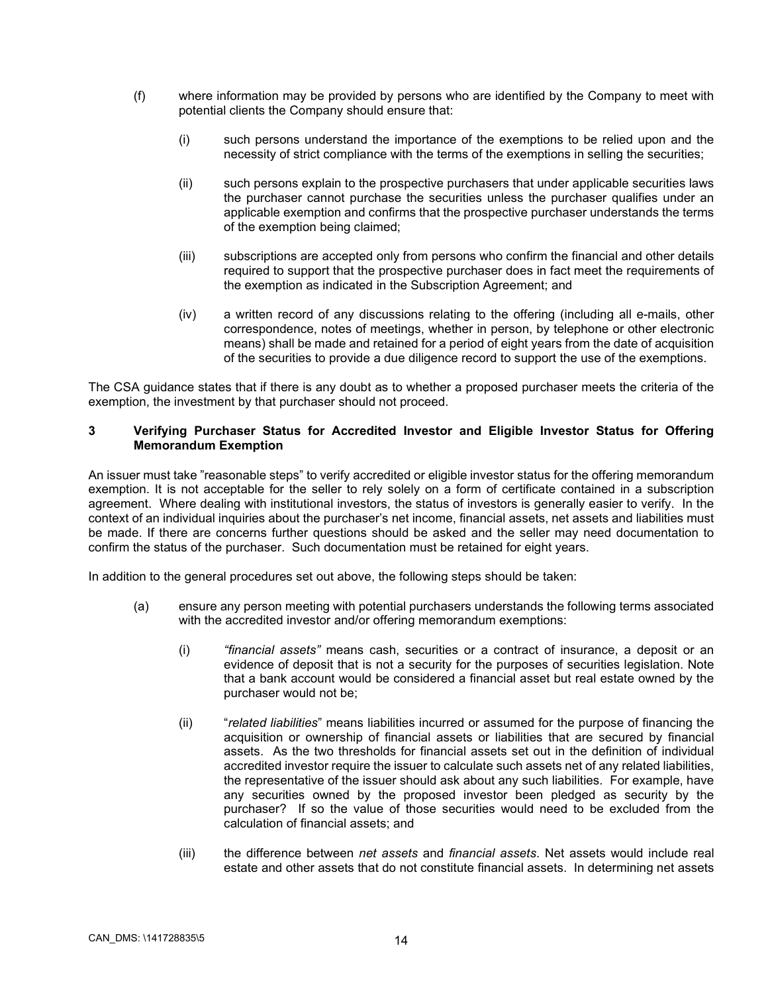- (f) where information may be provided by persons who are identified by the Company to meet with potential clients the Company should ensure that:
	- (i) such persons understand the importance of the exemptions to be relied upon and the necessity of strict compliance with the terms of the exemptions in selling the securities;
	- (ii) such persons explain to the prospective purchasers that under applicable securities laws the purchaser cannot purchase the securities unless the purchaser qualifies under an applicable exemption and confirms that the prospective purchaser understands the terms of the exemption being claimed;
	- (iii) subscriptions are accepted only from persons who confirm the financial and other details required to support that the prospective purchaser does in fact meet the requirements of the exemption as indicated in the Subscription Agreement; and
	- (iv) a written record of any discussions relating to the offering (including all e-mails, other correspondence, notes of meetings, whether in person, by telephone or other electronic means) shall be made and retained for a period of eight years from the date of acquisition of the securities to provide a due diligence record to support the use of the exemptions.

The CSA guidance states that if there is any doubt as to whether a proposed purchaser meets the criteria of the exemption, the investment by that purchaser should not proceed.

# **3 Verifying Purchaser Status for Accredited Investor and Eligible Investor Status for Offering Memorandum Exemption**

An issuer must take "reasonable steps" to verify accredited or eligible investor status for the offering memorandum exemption. It is not acceptable for the seller to rely solely on a form of certificate contained in a subscription agreement. Where dealing with institutional investors, the status of investors is generally easier to verify. In the context of an individual inquiries about the purchaser's net income, financial assets, net assets and liabilities must be made. If there are concerns further questions should be asked and the seller may need documentation to confirm the status of the purchaser. Such documentation must be retained for eight years.

In addition to the general procedures set out above, the following steps should be taken:

- (a) ensure any person meeting with potential purchasers understands the following terms associated with the accredited investor and/or offering memorandum exemptions:
	- (i) *"financial assets"* means cash, securities or a contract of insurance, a deposit or an evidence of deposit that is not a security for the purposes of securities legislation. Note that a bank account would be considered a financial asset but real estate owned by the purchaser would not be;
	- (ii) "*related liabilities*" means liabilities incurred or assumed for the purpose of financing the acquisition or ownership of financial assets or liabilities that are secured by financial assets. As the two thresholds for financial assets set out in the definition of individual accredited investor require the issuer to calculate such assets net of any related liabilities, the representative of the issuer should ask about any such liabilities. For example, have any securities owned by the proposed investor been pledged as security by the purchaser? If so the value of those securities would need to be excluded from the calculation of financial assets; and
	- (iii) the difference between *net assets* and *financial assets*. Net assets would include real estate and other assets that do not constitute financial assets. In determining net assets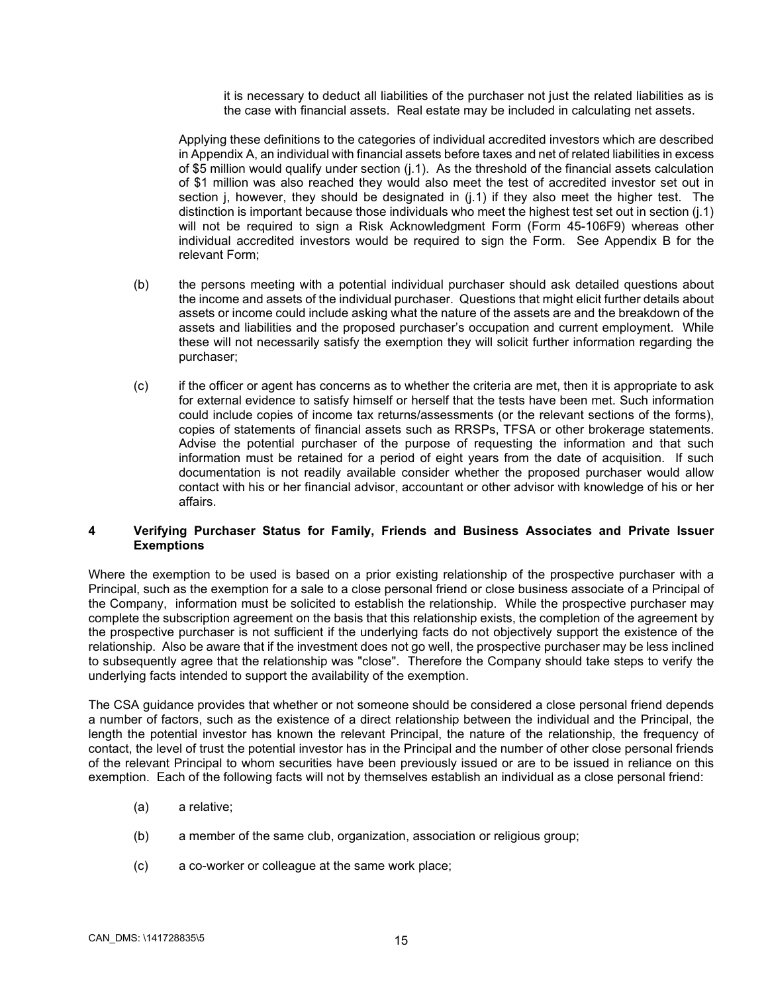it is necessary to deduct all liabilities of the purchaser not just the related liabilities as is the case with financial assets. Real estate may be included in calculating net assets.

Applying these definitions to the categories of individual accredited investors which are described in Appendix A, an individual with financial assets before taxes and net of related liabilities in excess of \$5 million would qualify under section (i.1). As the threshold of the financial assets calculation of \$1 million was also reached they would also meet the test of accredited investor set out in section j, however, they should be designated in (j.1) if they also meet the higher test. The distinction is important because those individuals who meet the highest test set out in section (j.1) will not be required to sign a Risk Acknowledgment Form (Form 45-106F9) whereas other individual accredited investors would be required to sign the Form. See Appendix B for the relevant Form;

- (b) the persons meeting with a potential individual purchaser should ask detailed questions about the income and assets of the individual purchaser. Questions that might elicit further details about assets or income could include asking what the nature of the assets are and the breakdown of the assets and liabilities and the proposed purchaser's occupation and current employment. While these will not necessarily satisfy the exemption they will solicit further information regarding the purchaser;
- (c) if the officer or agent has concerns as to whether the criteria are met, then it is appropriate to ask for external evidence to satisfy himself or herself that the tests have been met. Such information could include copies of income tax returns/assessments (or the relevant sections of the forms), copies of statements of financial assets such as RRSPs, TFSA or other brokerage statements. Advise the potential purchaser of the purpose of requesting the information and that such information must be retained for a period of eight years from the date of acquisition. If such documentation is not readily available consider whether the proposed purchaser would allow contact with his or her financial advisor, accountant or other advisor with knowledge of his or her affairs.

### **4 Verifying Purchaser Status for Family, Friends and Business Associates and Private Issuer Exemptions**

Where the exemption to be used is based on a prior existing relationship of the prospective purchaser with a Principal, such as the exemption for a sale to a close personal friend or close business associate of a Principal of the Company, information must be solicited to establish the relationship. While the prospective purchaser may complete the subscription agreement on the basis that this relationship exists, the completion of the agreement by the prospective purchaser is not sufficient if the underlying facts do not objectively support the existence of the relationship. Also be aware that if the investment does not go well, the prospective purchaser may be less inclined to subsequently agree that the relationship was "close". Therefore the Company should take steps to verify the underlying facts intended to support the availability of the exemption.

The CSA guidance provides that whether or not someone should be considered a close personal friend depends a number of factors, such as the existence of a direct relationship between the individual and the Principal, the length the potential investor has known the relevant Principal, the nature of the relationship, the frequency of contact, the level of trust the potential investor has in the Principal and the number of other close personal friends of the relevant Principal to whom securities have been previously issued or are to be issued in reliance on this exemption. Each of the following facts will not by themselves establish an individual as a close personal friend:

- (a) a relative;
- (b) a member of the same club, organization, association or religious group;
- (c) a co-worker or colleague at the same work place;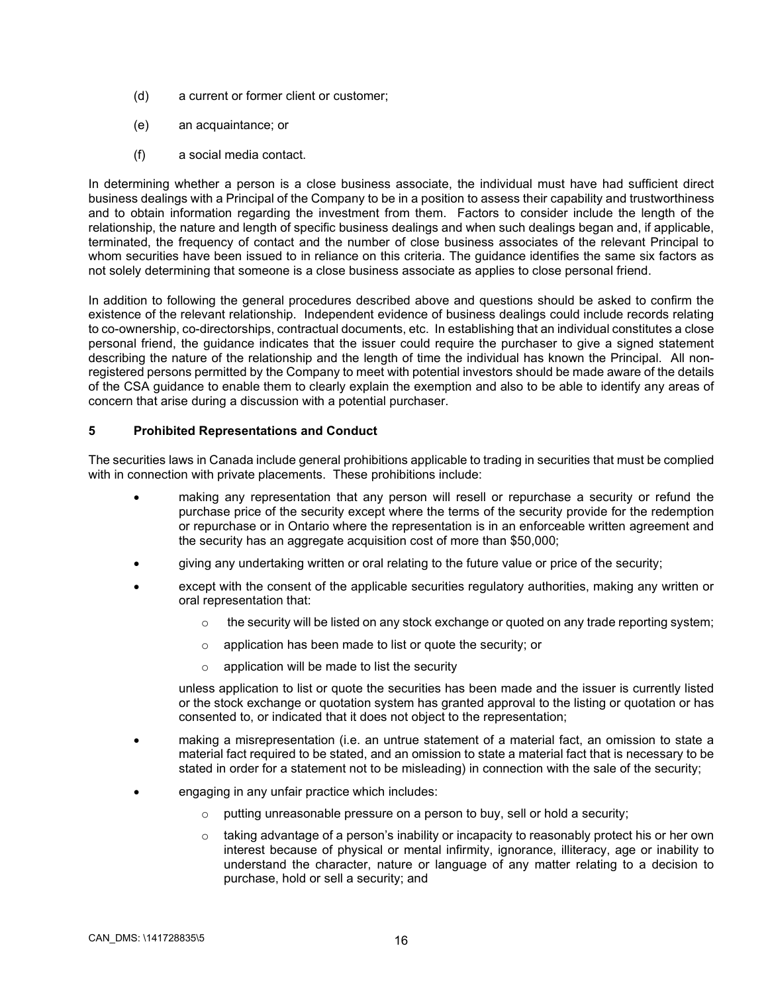- (d) a current or former client or customer;
- (e) an acquaintance; or
- (f) a social media contact.

In determining whether a person is a close business associate, the individual must have had sufficient direct business dealings with a Principal of the Company to be in a position to assess their capability and trustworthiness and to obtain information regarding the investment from them. Factors to consider include the length of the relationship, the nature and length of specific business dealings and when such dealings began and, if applicable, terminated, the frequency of contact and the number of close business associates of the relevant Principal to whom securities have been issued to in reliance on this criteria. The guidance identifies the same six factors as not solely determining that someone is a close business associate as applies to close personal friend.

In addition to following the general procedures described above and questions should be asked to confirm the existence of the relevant relationship. Independent evidence of business dealings could include records relating to co-ownership, co-directorships, contractual documents, etc. In establishing that an individual constitutes a close personal friend, the guidance indicates that the issuer could require the purchaser to give a signed statement describing the nature of the relationship and the length of time the individual has known the Principal. All nonregistered persons permitted by the Company to meet with potential investors should be made aware of the details of the CSA guidance to enable them to clearly explain the exemption and also to be able to identify any areas of concern that arise during a discussion with a potential purchaser.

# **5 Prohibited Representations and Conduct**

The securities laws in Canada include general prohibitions applicable to trading in securities that must be complied with in connection with private placements. These prohibitions include:

- making any representation that any person will resell or repurchase a security or refund the purchase price of the security except where the terms of the security provide for the redemption or repurchase or in Ontario where the representation is in an enforceable written agreement and the security has an aggregate acquisition cost of more than \$50,000;
- giving any undertaking written or oral relating to the future value or price of the security;
- except with the consent of the applicable securities regulatory authorities, making any written or oral representation that:
	- $\circ$  the security will be listed on any stock exchange or quoted on any trade reporting system;
	- o application has been made to list or quote the security; or
	- $\circ$  application will be made to list the security

unless application to list or quote the securities has been made and the issuer is currently listed or the stock exchange or quotation system has granted approval to the listing or quotation or has consented to, or indicated that it does not object to the representation;

- making a misrepresentation (i.e. an untrue statement of a material fact, an omission to state a material fact required to be stated, and an omission to state a material fact that is necessary to be stated in order for a statement not to be misleading) in connection with the sale of the security;
- engaging in any unfair practice which includes:
	- o putting unreasonable pressure on a person to buy, sell or hold a security;
	- $\circ$  taking advantage of a person's inability or incapacity to reasonably protect his or her own interest because of physical or mental infirmity, ignorance, illiteracy, age or inability to understand the character, nature or language of any matter relating to a decision to purchase, hold or sell a security; and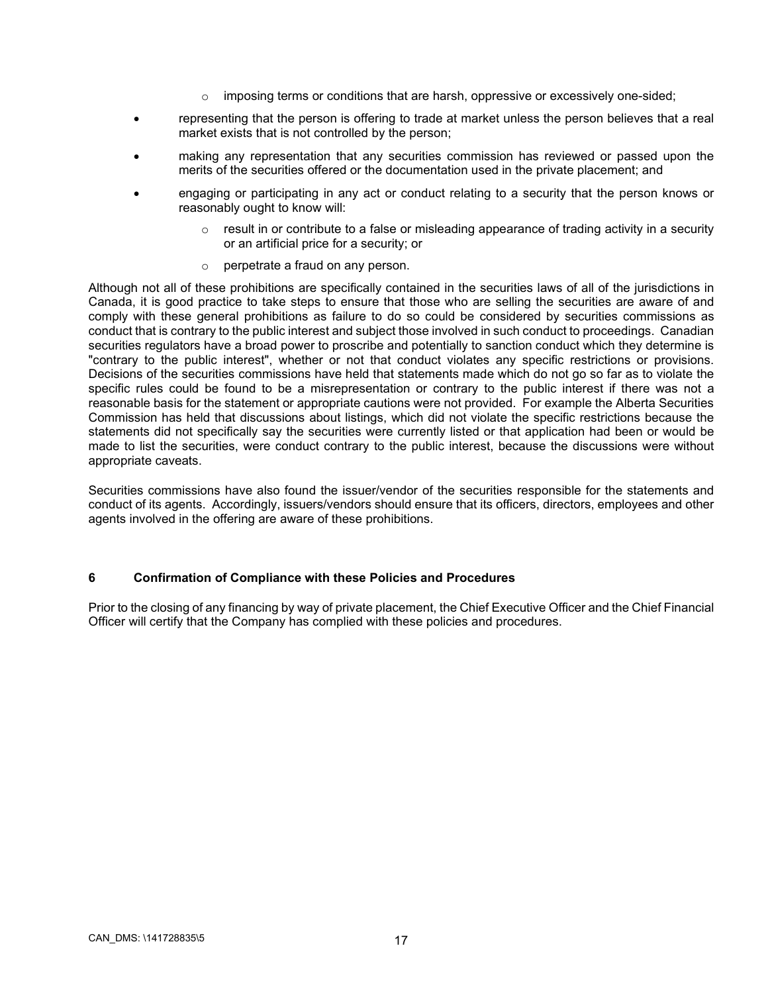- $\circ$  imposing terms or conditions that are harsh, oppressive or excessively one-sided;
- representing that the person is offering to trade at market unless the person believes that a real market exists that is not controlled by the person;
- making any representation that any securities commission has reviewed or passed upon the merits of the securities offered or the documentation used in the private placement; and
- engaging or participating in any act or conduct relating to a security that the person knows or reasonably ought to know will:
	- $\circ$  result in or contribute to a false or misleading appearance of trading activity in a security or an artificial price for a security; or
	- o perpetrate a fraud on any person.

Although not all of these prohibitions are specifically contained in the securities laws of all of the jurisdictions in Canada, it is good practice to take steps to ensure that those who are selling the securities are aware of and comply with these general prohibitions as failure to do so could be considered by securities commissions as conduct that is contrary to the public interest and subject those involved in such conduct to proceedings. Canadian securities regulators have a broad power to proscribe and potentially to sanction conduct which they determine is "contrary to the public interest", whether or not that conduct violates any specific restrictions or provisions. Decisions of the securities commissions have held that statements made which do not go so far as to violate the specific rules could be found to be a misrepresentation or contrary to the public interest if there was not a reasonable basis for the statement or appropriate cautions were not provided. For example the Alberta Securities Commission has held that discussions about listings, which did not violate the specific restrictions because the statements did not specifically say the securities were currently listed or that application had been or would be made to list the securities, were conduct contrary to the public interest, because the discussions were without appropriate caveats.

Securities commissions have also found the issuer/vendor of the securities responsible for the statements and conduct of its agents. Accordingly, issuers/vendors should ensure that its officers, directors, employees and other agents involved in the offering are aware of these prohibitions.

### **6 Confirmation of Compliance with these Policies and Procedures**

Prior to the closing of any financing by way of private placement, the Chief Executive Officer and the Chief Financial Officer will certify that the Company has complied with these policies and procedures.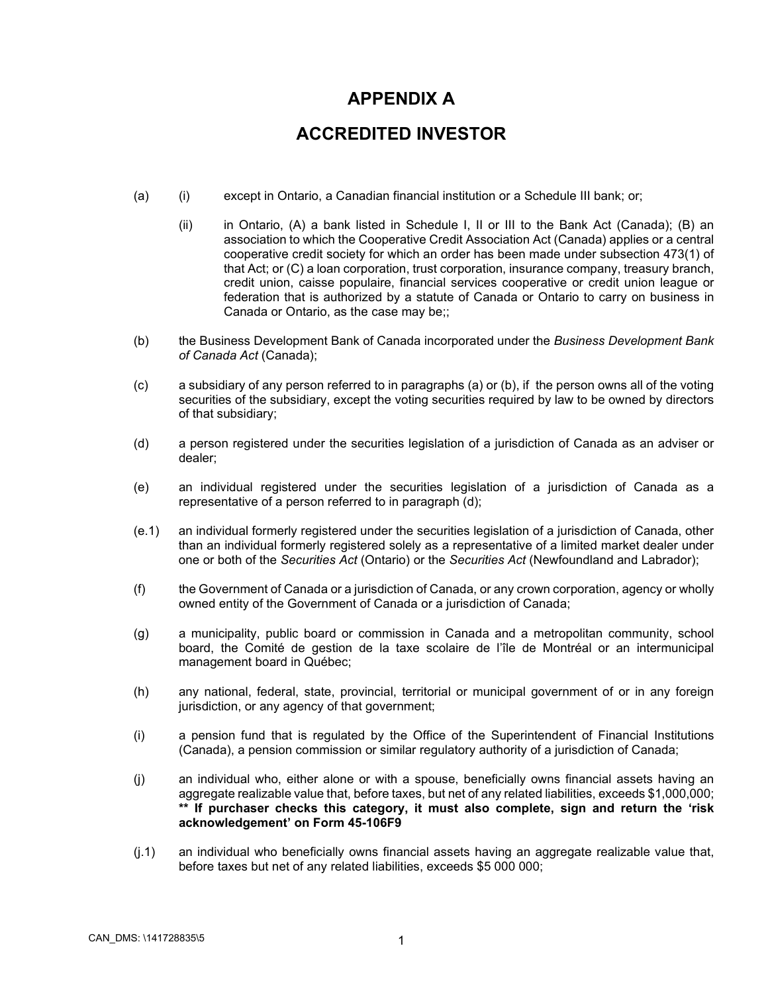# **APPENDIX A**

# **ACCREDITED INVESTOR**

- (a) (i) except in Ontario, a Canadian financial institution or a Schedule III bank; or;
	- (ii) in Ontario, (A) a bank listed in Schedule I, II or III to the Bank Act (Canada); (B) an association to which the Cooperative Credit Association Act (Canada) applies or a central cooperative credit society for which an order has been made under subsection 473(1) of that Act; or (C) a loan corporation, trust corporation, insurance company, treasury branch, credit union, caisse populaire, financial services cooperative or credit union league or federation that is authorized by a statute of Canada or Ontario to carry on business in Canada or Ontario, as the case may be;;
- (b) the Business Development Bank of Canada incorporated under the *Business Development Bank of Canada Act* (Canada);
- (c) a subsidiary of any person referred to in paragraphs (a) or (b), if the person owns all of the voting securities of the subsidiary, except the voting securities required by law to be owned by directors of that subsidiary;
- (d) a person registered under the securities legislation of a jurisdiction of Canada as an adviser or dealer;
- (e) an individual registered under the securities legislation of a jurisdiction of Canada as a representative of a person referred to in paragraph (d);
- (e.1) an individual formerly registered under the securities legislation of a jurisdiction of Canada, other than an individual formerly registered solely as a representative of a limited market dealer under one or both of the *Securities Act* (Ontario) or the *Securities Act* (Newfoundland and Labrador);
- (f) the Government of Canada or a jurisdiction of Canada, or any crown corporation, agency or wholly owned entity of the Government of Canada or a jurisdiction of Canada;
- (g) a municipality, public board or commission in Canada and a metropolitan community, school board, the Comité de gestion de la taxe scolaire de l'île de Montréal or an intermunicipal management board in Québec;
- (h) any national, federal, state, provincial, territorial or municipal government of or in any foreign jurisdiction, or any agency of that government;
- (i) a pension fund that is regulated by the Office of the Superintendent of Financial Institutions (Canada), a pension commission or similar regulatory authority of a jurisdiction of Canada;
- (j) an individual who, either alone or with a spouse, beneficially owns financial assets having an aggregate realizable value that, before taxes, but net of any related liabilities, exceeds \$1,000,000; **\*\* If purchaser checks this category, it must also complete, sign and return the 'risk acknowledgement' on Form 45-106F9**
- (j.1) an individual who beneficially owns financial assets having an aggregate realizable value that, before taxes but net of any related liabilities, exceeds \$5 000 000;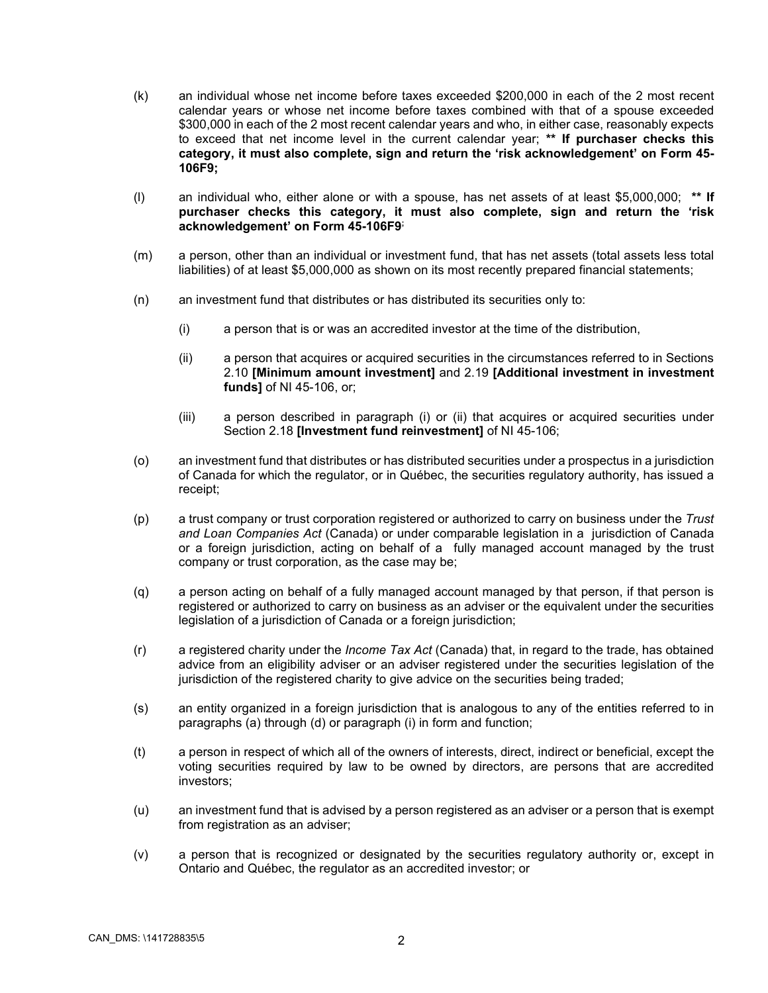- (k) an individual whose net income before taxes exceeded \$200,000 in each of the 2 most recent calendar years or whose net income before taxes combined with that of a spouse exceeded \$300,000 in each of the 2 most recent calendar years and who, in either case, reasonably expects to exceed that net income level in the current calendar year; **\*\* If purchaser checks this category, it must also complete, sign and return the 'risk acknowledgement' on Form 45- 106F9;**
- (l) an individual who, either alone or with a spouse, has net assets of at least \$5,000,000; **\*\* If purchaser checks this category, it must also complete, sign and return the 'risk acknowledgement' on Form 45-106F9;**
- (m) a person, other than an individual or investment fund, that has net assets (total assets less total liabilities) of at least \$5,000,000 as shown on its most recently prepared financial statements;
- (n) an investment fund that distributes or has distributed its securities only to:
	- (i) a person that is or was an accredited investor at the time of the distribution,
	- (ii) a person that acquires or acquired securities in the circumstances referred to in Sections 2.10 **[Minimum amount investment]** and 2.19 **[Additional investment in investment funds]** of NI 45-106, or;
	- (iii) a person described in paragraph (i) or (ii) that acquires or acquired securities under Section 2.18 **[Investment fund reinvestment]** of NI 45-106;
- (o) an investment fund that distributes or has distributed securities under a prospectus in a jurisdiction of Canada for which the regulator, or in Québec, the securities regulatory authority, has issued a receipt;
- (p) a trust company or trust corporation registered or authorized to carry on business under the *Trust and Loan Companies Act* (Canada) or under comparable legislation in a jurisdiction of Canada or a foreign jurisdiction, acting on behalf of a fully managed account managed by the trust company or trust corporation, as the case may be;
- (q) a person acting on behalf of a fully managed account managed by that person, if that person is registered or authorized to carry on business as an adviser or the equivalent under the securities legislation of a jurisdiction of Canada or a foreign jurisdiction;
- (r) a registered charity under the *Income Tax Act* (Canada) that, in regard to the trade, has obtained advice from an eligibility adviser or an adviser registered under the securities legislation of the jurisdiction of the registered charity to give advice on the securities being traded;
- (s) an entity organized in a foreign jurisdiction that is analogous to any of the entities referred to in paragraphs (a) through (d) or paragraph (i) in form and function;
- (t) a person in respect of which all of the owners of interests, direct, indirect or beneficial, except the voting securities required by law to be owned by directors, are persons that are accredited investors;
- (u) an investment fund that is advised by a person registered as an adviser or a person that is exempt from registration as an adviser;
- (v) a person that is recognized or designated by the securities regulatory authority or, except in Ontario and Québec, the regulator as an accredited investor; or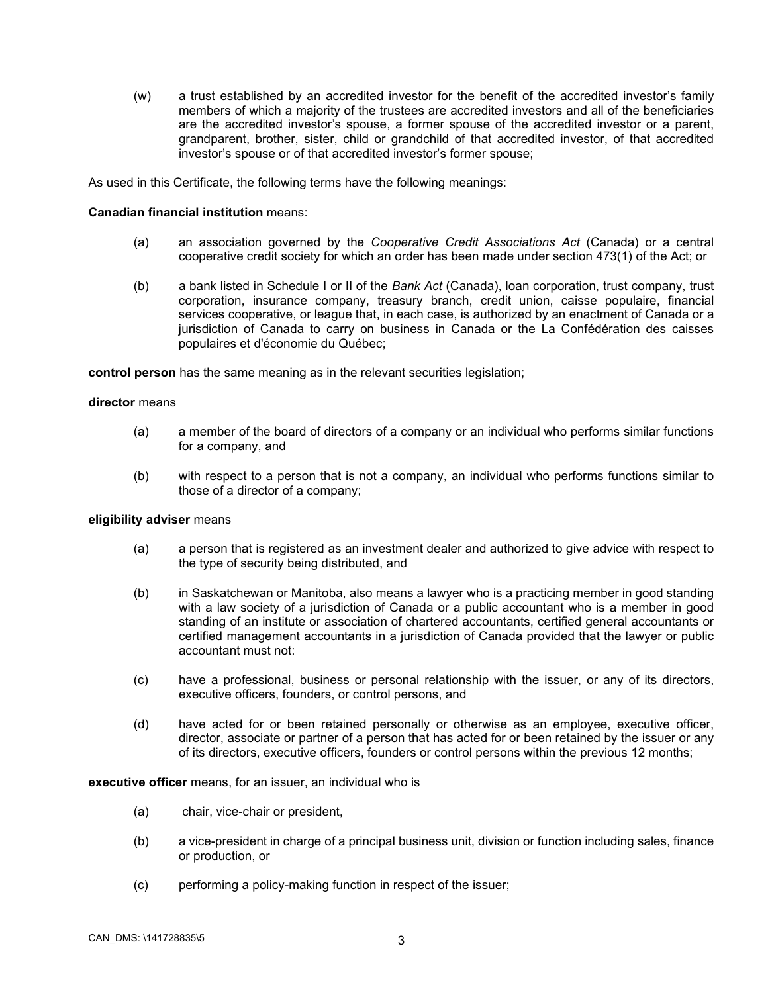(w) a trust established by an accredited investor for the benefit of the accredited investor's family members of which a majority of the trustees are accredited investors and all of the beneficiaries are the accredited investor's spouse, a former spouse of the accredited investor or a parent, grandparent, brother, sister, child or grandchild of that accredited investor, of that accredited investor's spouse or of that accredited investor's former spouse;

As used in this Certificate, the following terms have the following meanings:

#### **Canadian financial institution** means:

- (a) an association governed by the *Cooperative Credit Associations Act* (Canada) or a central cooperative credit society for which an order has been made under section 473(1) of the Act; or
- (b) a bank listed in Schedule I or II of the *Bank Act* (Canada), loan corporation, trust company, trust corporation, insurance company, treasury branch, credit union, caisse populaire, financial services cooperative, or league that, in each case, is authorized by an enactment of Canada or a jurisdiction of Canada to carry on business in Canada or the La Confédération des caisses populaires et d'économie du Québec;

**control person** has the same meaning as in the relevant securities legislation;

#### **director** means

- (a) a member of the board of directors of a company or an individual who performs similar functions for a company, and
- (b) with respect to a person that is not a company, an individual who performs functions similar to those of a director of a company;

#### **eligibility adviser** means

- (a) a person that is registered as an investment dealer and authorized to give advice with respect to the type of security being distributed, and
- (b) in Saskatchewan or Manitoba, also means a lawyer who is a practicing member in good standing with a law society of a jurisdiction of Canada or a public accountant who is a member in good standing of an institute or association of chartered accountants, certified general accountants or certified management accountants in a jurisdiction of Canada provided that the lawyer or public accountant must not:
- (c) have a professional, business or personal relationship with the issuer, or any of its directors, executive officers, founders, or control persons, and
- (d) have acted for or been retained personally or otherwise as an employee, executive officer, director, associate or partner of a person that has acted for or been retained by the issuer or any of its directors, executive officers, founders or control persons within the previous 12 months;

**executive officer** means, for an issuer, an individual who is

- (a) chair, vice-chair or president,
- (b) a vice-president in charge of a principal business unit, division or function including sales, finance or production, or
- (c) performing a policy-making function in respect of the issuer;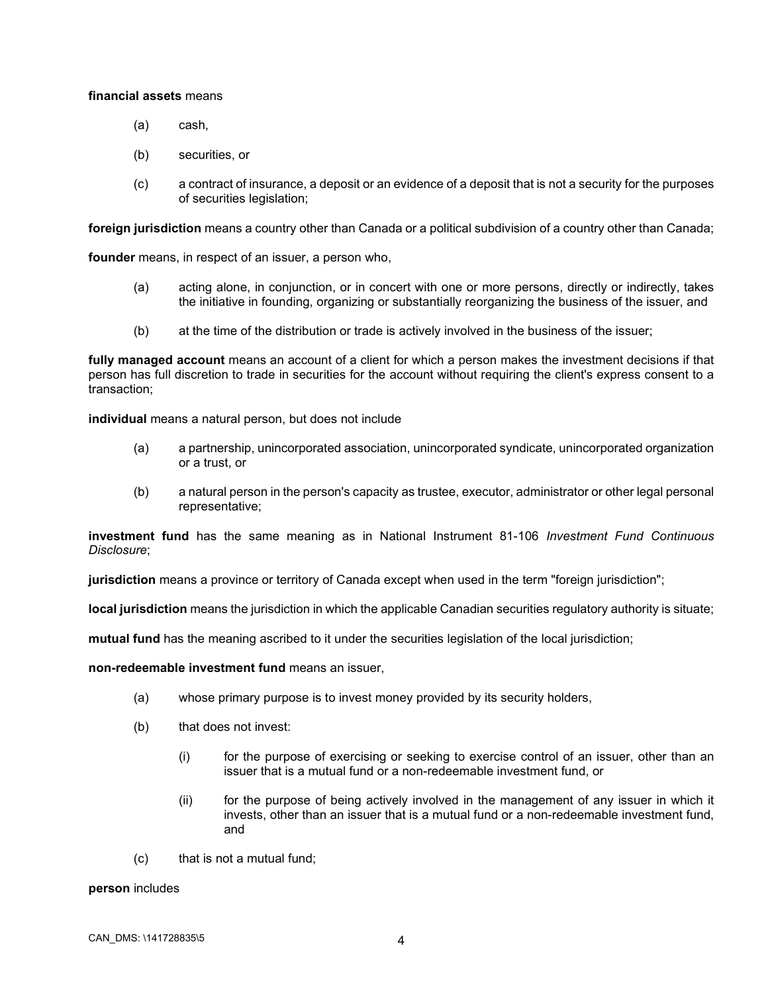#### **financial assets** means

- (a) cash,
- (b) securities, or
- (c) a contract of insurance, a deposit or an evidence of a deposit that is not a security for the purposes of securities legislation;

**foreign jurisdiction** means a country other than Canada or a political subdivision of a country other than Canada;

**founder** means, in respect of an issuer, a person who,

- (a) acting alone, in conjunction, or in concert with one or more persons, directly or indirectly, takes the initiative in founding, organizing or substantially reorganizing the business of the issuer, and
- (b) at the time of the distribution or trade is actively involved in the business of the issuer;

**fully managed account** means an account of a client for which a person makes the investment decisions if that person has full discretion to trade in securities for the account without requiring the client's express consent to a transaction;

**individual** means a natural person, but does not include

- (a) a partnership, unincorporated association, unincorporated syndicate, unincorporated organization or a trust, or
- (b) a natural person in the person's capacity as trustee, executor, administrator or other legal personal representative;

**investment fund** has the same meaning as in National Instrument 81-106 *Investment Fund Continuous Disclosure*;

**jurisdiction** means a province or territory of Canada except when used in the term "foreign jurisdiction";

**local jurisdiction** means the jurisdiction in which the applicable Canadian securities regulatory authority is situate;

**mutual fund** has the meaning ascribed to it under the securities legislation of the local jurisdiction;

**non-redeemable investment fund** means an issuer,

- (a) whose primary purpose is to invest money provided by its security holders,
- (b) that does not invest:
	- (i) for the purpose of exercising or seeking to exercise control of an issuer, other than an issuer that is a mutual fund or a non-redeemable investment fund, or
	- (ii) for the purpose of being actively involved in the management of any issuer in which it invests, other than an issuer that is a mutual fund or a non-redeemable investment fund, and
- (c) that is not a mutual fund;

#### **person** includes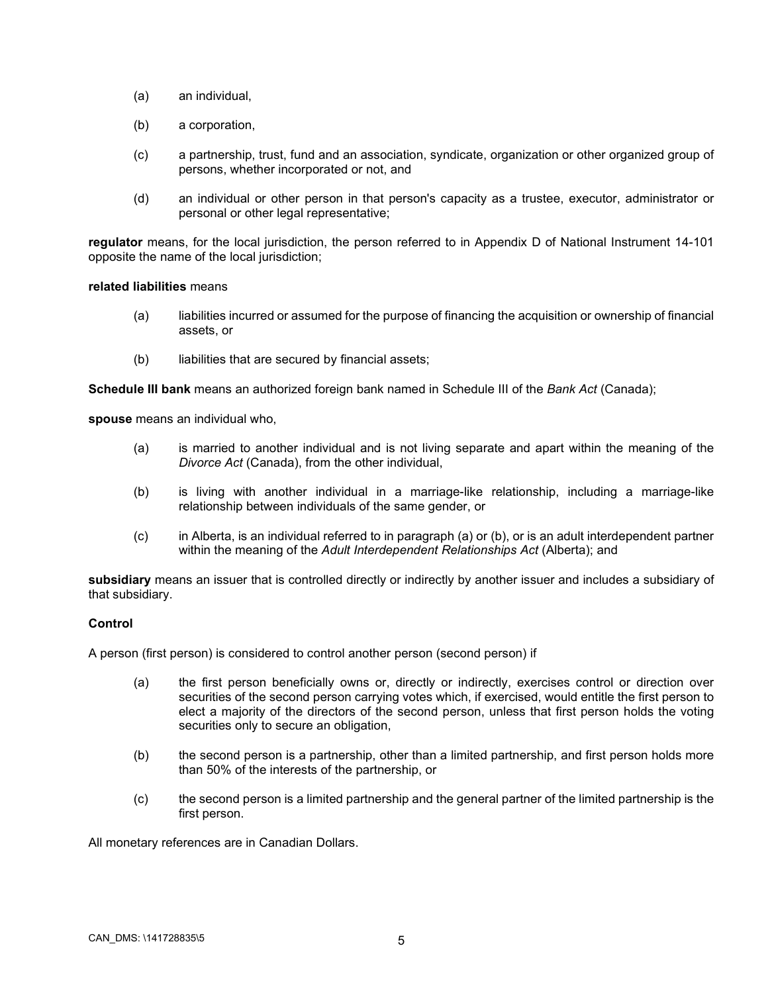- (a) an individual,
- (b) a corporation,
- (c) a partnership, trust, fund and an association, syndicate, organization or other organized group of persons, whether incorporated or not, and
- (d) an individual or other person in that person's capacity as a trustee, executor, administrator or personal or other legal representative;

**regulator** means, for the local jurisdiction, the person referred to in Appendix D of National Instrument 14-101 opposite the name of the local jurisdiction;

### **related liabilities** means

- (a) liabilities incurred or assumed for the purpose of financing the acquisition or ownership of financial assets, or
- (b) liabilities that are secured by financial assets;

**Schedule III bank** means an authorized foreign bank named in Schedule III of the *Bank Act* (Canada);

**spouse** means an individual who,

- (a) is married to another individual and is not living separate and apart within the meaning of the *Divorce Act* (Canada), from the other individual,
- (b) is living with another individual in a marriage-like relationship, including a marriage-like relationship between individuals of the same gender, or
- (c) in Alberta, is an individual referred to in paragraph (a) or (b), or is an adult interdependent partner within the meaning of the *Adult Interdependent Relationships Act* (Alberta); and

**subsidiary** means an issuer that is controlled directly or indirectly by another issuer and includes a subsidiary of that subsidiary.

### **Control**

A person (first person) is considered to control another person (second person) if

- (a) the first person beneficially owns or, directly or indirectly, exercises control or direction over securities of the second person carrying votes which, if exercised, would entitle the first person to elect a majority of the directors of the second person, unless that first person holds the voting securities only to secure an obligation,
- (b) the second person is a partnership, other than a limited partnership, and first person holds more than 50% of the interests of the partnership, or
- (c) the second person is a limited partnership and the general partner of the limited partnership is the first person.

All monetary references are in Canadian Dollars.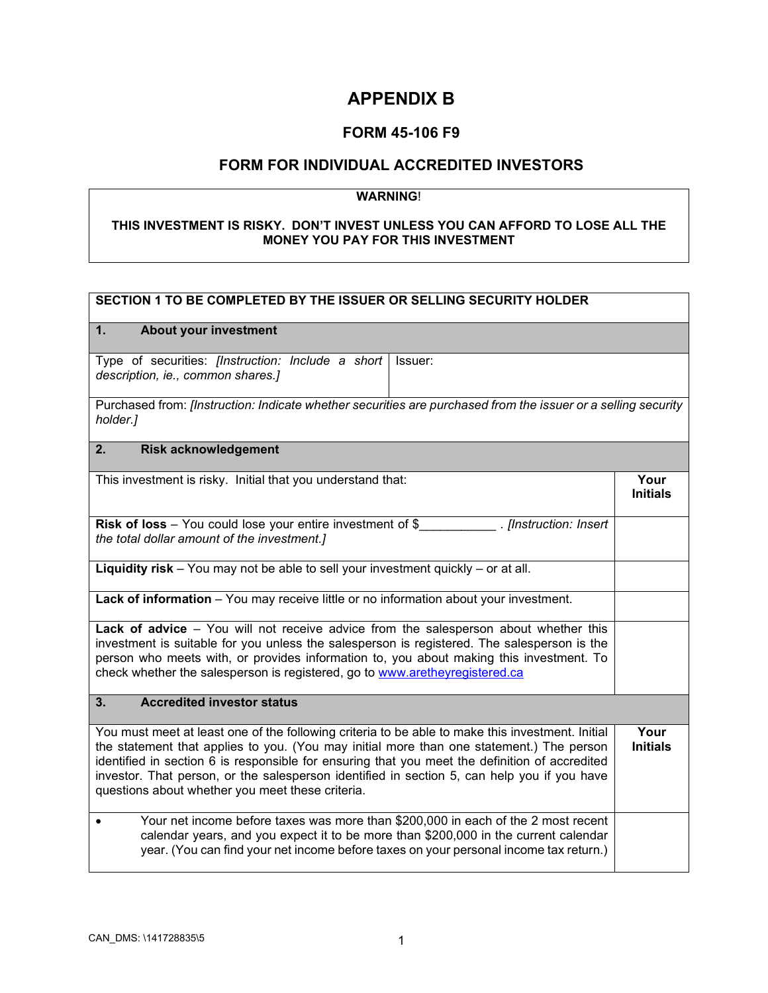# **APPENDIX B**

# **FORM 45-106 F9**

# **FORM FOR INDIVIDUAL ACCREDITED INVESTORS**

## **WARNING**!

## **THIS INVESTMENT IS RISKY. DON'T INVEST UNLESS YOU CAN AFFORD TO LOSE ALL THE MONEY YOU PAY FOR THIS INVESTMENT**

# **SECTION 1 TO BE COMPLETED BY THE ISSUER OR SELLING SECURITY HOLDER 1. About your investment** Type of securities: *[Instruction: Include a short description, ie., common shares.]* Issuer: Purchased from: *[Instruction: Indicate whether securities are purchased from the issuer or a selling security holder.]* **2. Risk acknowledgement** This investment is risky. Initial that you understand that: **Your Initials Risk of loss** – You could lose your entire investment of \$\_\_\_\_\_\_\_\_\_\_\_ . *[Instruction: Insert the total dollar amount of the investment.]* **Liquidity risk** – You may not be able to sell your investment quickly – or at all. **Lack of information** – You may receive little or no information about your investment. **Lack of advice** – You will not receive advice from the salesperson about whether this investment is suitable for you unless the salesperson is registered. The salesperson is the person who meets with, or provides information to, you about making this investment. To check whether the salesperson is registered, go to [www.aretheyregistered.ca](http://www.aretheyregistered.ca/)  **3. Accredited investor status** You must meet at least one of the following criteria to be able to make this investment. Initial the statement that applies to you. (You may initial more than one statement.) The person identified in section 6 is responsible for ensuring that you meet the definition of accredited investor. That person, or the salesperson identified in section 5, can help you if you have questions about whether you meet these criteria. **Your Initials** • Your net income before taxes was more than \$200,000 in each of the 2 most recent calendar years, and you expect it to be more than \$200,000 in the current calendar year. (You can find your net income before taxes on your personal income tax return.)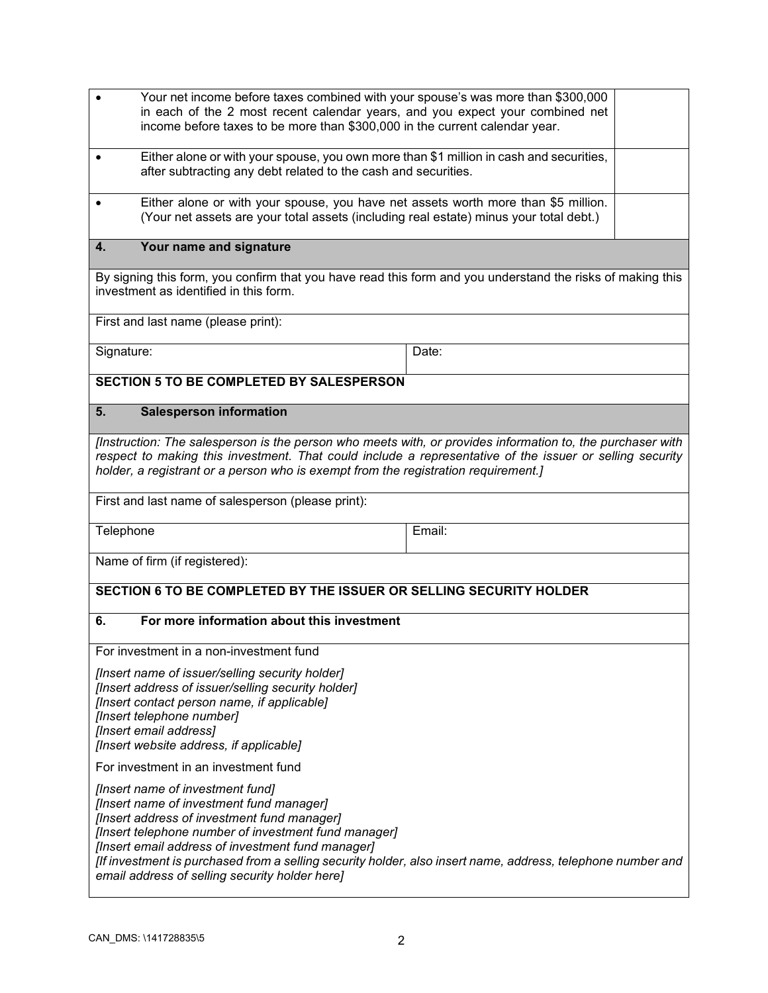|                                                                                                                                                                                                                                                                                                                                                                                                           | Your net income before taxes combined with your spouse's was more than \$300,000<br>in each of the 2 most recent calendar years, and you expect your combined net<br>income before taxes to be more than \$300,000 in the current calendar year. |        |
|-----------------------------------------------------------------------------------------------------------------------------------------------------------------------------------------------------------------------------------------------------------------------------------------------------------------------------------------------------------------------------------------------------------|--------------------------------------------------------------------------------------------------------------------------------------------------------------------------------------------------------------------------------------------------|--------|
| $\bullet$                                                                                                                                                                                                                                                                                                                                                                                                 | Either alone or with your spouse, you own more than \$1 million in cash and securities,<br>after subtracting any debt related to the cash and securities.                                                                                        |        |
| $\bullet$                                                                                                                                                                                                                                                                                                                                                                                                 | Either alone or with your spouse, you have net assets worth more than \$5 million.<br>(Your net assets are your total assets (including real estate) minus your total debt.)                                                                     |        |
| 4.                                                                                                                                                                                                                                                                                                                                                                                                        | Your name and signature                                                                                                                                                                                                                          |        |
| By signing this form, you confirm that you have read this form and you understand the risks of making this<br>investment as identified in this form.                                                                                                                                                                                                                                                      |                                                                                                                                                                                                                                                  |        |
| First and last name (please print):                                                                                                                                                                                                                                                                                                                                                                       |                                                                                                                                                                                                                                                  |        |
| Signature:                                                                                                                                                                                                                                                                                                                                                                                                |                                                                                                                                                                                                                                                  | Date:  |
| <b>SECTION 5 TO BE COMPLETED BY SALESPERSON</b>                                                                                                                                                                                                                                                                                                                                                           |                                                                                                                                                                                                                                                  |        |
| <b>Salesperson information</b><br>5.                                                                                                                                                                                                                                                                                                                                                                      |                                                                                                                                                                                                                                                  |        |
| [Instruction: The salesperson is the person who meets with, or provides information to, the purchaser with<br>respect to making this investment. That could include a representative of the issuer or selling security<br>holder, a registrant or a person who is exempt from the registration requirement.]                                                                                              |                                                                                                                                                                                                                                                  |        |
| First and last name of salesperson (please print):                                                                                                                                                                                                                                                                                                                                                        |                                                                                                                                                                                                                                                  |        |
| Telephone                                                                                                                                                                                                                                                                                                                                                                                                 |                                                                                                                                                                                                                                                  | Email: |
| Name of firm (if registered):                                                                                                                                                                                                                                                                                                                                                                             |                                                                                                                                                                                                                                                  |        |
| SECTION 6 TO BE COMPLETED BY THE ISSUER OR SELLING SECURITY HOLDER                                                                                                                                                                                                                                                                                                                                        |                                                                                                                                                                                                                                                  |        |
| For more information about this investment<br>6.                                                                                                                                                                                                                                                                                                                                                          |                                                                                                                                                                                                                                                  |        |
| For investment in a non-investment fund                                                                                                                                                                                                                                                                                                                                                                   |                                                                                                                                                                                                                                                  |        |
| [Insert name of issuer/selling security holder]<br>[Insert address of issuer/selling security holder]<br>[Insert contact person name, if applicable]<br>[Insert telephone number]<br>[Insert email address]<br>[Insert website address, if applicable]                                                                                                                                                    |                                                                                                                                                                                                                                                  |        |
| For investment in an investment fund                                                                                                                                                                                                                                                                                                                                                                      |                                                                                                                                                                                                                                                  |        |
| [Insert name of investment fund]<br>[Insert name of investment fund manager]<br>[Insert address of investment fund manager]<br>[Insert telephone number of investment fund manager]<br>[Insert email address of investment fund manager]<br>[If investment is purchased from a selling security holder, also insert name, address, telephone number and<br>email address of selling security holder here] |                                                                                                                                                                                                                                                  |        |